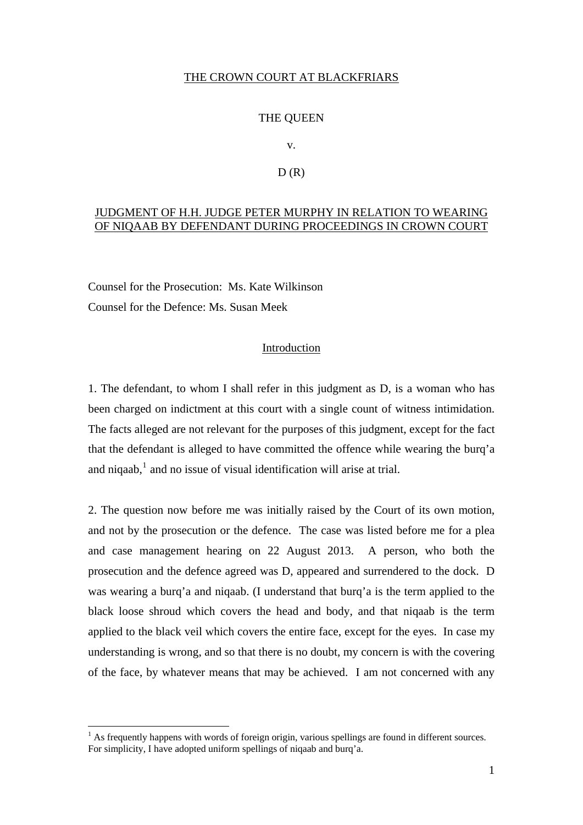### THE CROWN COURT AT BLACKFRIARS

#### THE QUEEN

v.

#### $D(R)$

## JUDGMENT OF H.H. JUDGE PETER MURPHY IN RELATION TO WEARING OF NIQAAB BY DEFENDANT DURING PROCEEDINGS IN CROWN COURT

Counsel for the Prosecution: Ms. Kate Wilkinson Counsel for the Defence: Ms. Susan Meek

# Introduction

1. The defendant, to whom I shall refer in this judgment as D, is a woman who has been charged on indictment at this court with a single count of witness intimidation. The facts alleged are not relevant for the purposes of this judgment, except for the fact that the defendant is alleged to have committed the offence while wearing the burq'a and niqaab,<sup>[1](#page-0-0)</sup> and no issue of visual identification will arise at trial.

2. The question now before me was initially raised by the Court of its own motion, and not by the prosecution or the defence. The case was listed before me for a plea and case management hearing on 22 August 2013. A person, who both the prosecution and the defence agreed was D, appeared and surrendered to the dock. D was wearing a burq'a and niqaab. (I understand that burq'a is the term applied to the black loose shroud which covers the head and body, and that niqaab is the term applied to the black veil which covers the entire face, except for the eyes. In case my understanding is wrong, and so that there is no doubt, my concern is with the covering of the face, by whatever means that may be achieved. I am not concerned with any

<u>.</u>

<span id="page-0-0"></span> $<sup>1</sup>$  As frequently happens with words of foreign origin, various spellings are found in different sources.</sup> For simplicity, I have adopted uniform spellings of niqaab and burq'a.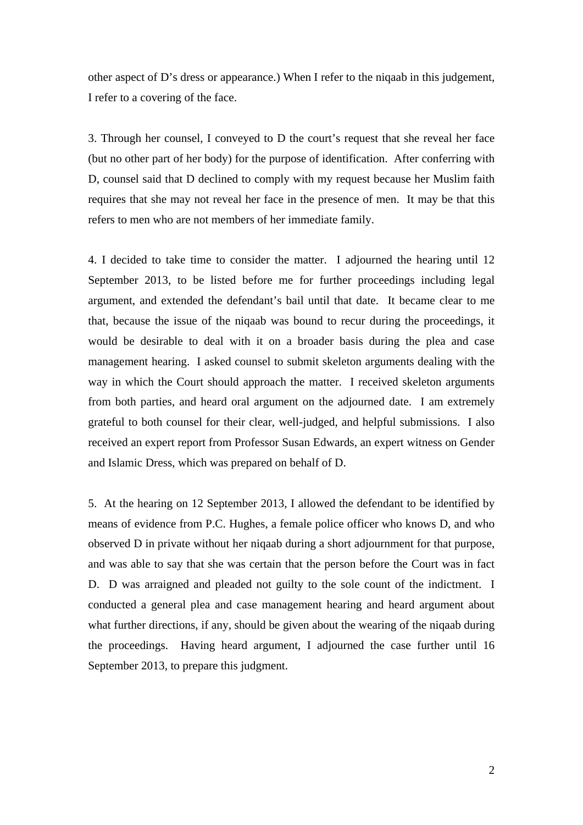other aspect of D's dress or appearance.) When I refer to the niqaab in this judgement, I refer to a covering of the face.

3. Through her counsel, I conveyed to D the court's request that she reveal her face (but no other part of her body) for the purpose of identification. After conferring with D, counsel said that D declined to comply with my request because her Muslim faith requires that she may not reveal her face in the presence of men. It may be that this refers to men who are not members of her immediate family.

4. I decided to take time to consider the matter. I adjourned the hearing until 12 September 2013, to be listed before me for further proceedings including legal argument, and extended the defendant's bail until that date. It became clear to me that, because the issue of the niqaab was bound to recur during the proceedings, it would be desirable to deal with it on a broader basis during the plea and case management hearing. I asked counsel to submit skeleton arguments dealing with the way in which the Court should approach the matter. I received skeleton arguments from both parties, and heard oral argument on the adjourned date. I am extremely grateful to both counsel for their clear, well-judged, and helpful submissions. I also received an expert report from Professor Susan Edwards, an expert witness on Gender and Islamic Dress, which was prepared on behalf of D.

5. At the hearing on 12 September 2013, I allowed the defendant to be identified by means of evidence from P.C. Hughes, a female police officer who knows D, and who observed D in private without her niqaab during a short adjournment for that purpose, and was able to say that she was certain that the person before the Court was in fact D. D was arraigned and pleaded not guilty to the sole count of the indictment. I conducted a general plea and case management hearing and heard argument about what further directions, if any, should be given about the wearing of the niqaab during the proceedings. Having heard argument, I adjourned the case further until 16 September 2013, to prepare this judgment.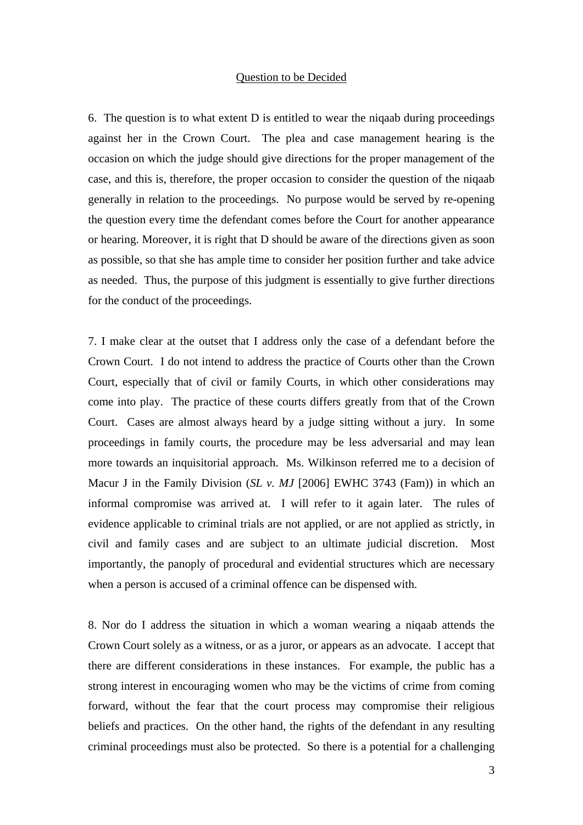#### Question to be Decided

6. The question is to what extent D is entitled to wear the niqaab during proceedings against her in the Crown Court. The plea and case management hearing is the occasion on which the judge should give directions for the proper management of the case, and this is, therefore, the proper occasion to consider the question of the niqaab generally in relation to the proceedings. No purpose would be served by re-opening the question every time the defendant comes before the Court for another appearance or hearing. Moreover, it is right that D should be aware of the directions given as soon as possible, so that she has ample time to consider her position further and take advice as needed. Thus, the purpose of this judgment is essentially to give further directions for the conduct of the proceedings.

7. I make clear at the outset that I address only the case of a defendant before the Crown Court. I do not intend to address the practice of Courts other than the Crown Court, especially that of civil or family Courts, in which other considerations may come into play. The practice of these courts differs greatly from that of the Crown Court. Cases are almost always heard by a judge sitting without a jury. In some proceedings in family courts, the procedure may be less adversarial and may lean more towards an inquisitorial approach. Ms. Wilkinson referred me to a decision of Macur J in the Family Division (*SL v. MJ* [2006] EWHC 3743 (Fam)) in which an informal compromise was arrived at. I will refer to it again later. The rules of evidence applicable to criminal trials are not applied, or are not applied as strictly, in civil and family cases and are subject to an ultimate judicial discretion. Most importantly, the panoply of procedural and evidential structures which are necessary when a person is accused of a criminal offence can be dispensed with.

8. Nor do I address the situation in which a woman wearing a niqaab attends the Crown Court solely as a witness, or as a juror, or appears as an advocate. I accept that there are different considerations in these instances. For example, the public has a strong interest in encouraging women who may be the victims of crime from coming forward, without the fear that the court process may compromise their religious beliefs and practices. On the other hand, the rights of the defendant in any resulting criminal proceedings must also be protected. So there is a potential for a challenging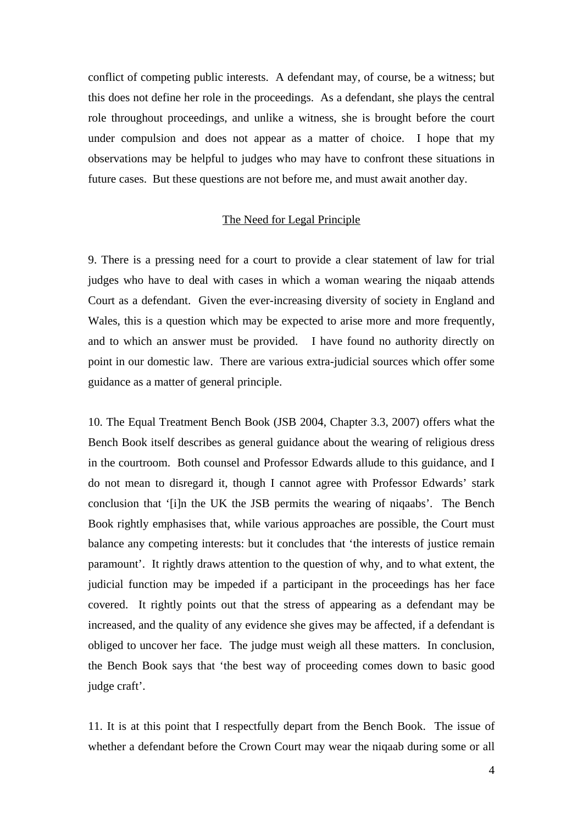conflict of competing public interests. A defendant may, of course, be a witness; but this does not define her role in the proceedings. As a defendant, she plays the central role throughout proceedings, and unlike a witness, she is brought before the court under compulsion and does not appear as a matter of choice. I hope that my observations may be helpful to judges who may have to confront these situations in future cases. But these questions are not before me, and must await another day.

## The Need for Legal Principle

9. There is a pressing need for a court to provide a clear statement of law for trial judges who have to deal with cases in which a woman wearing the niqaab attends Court as a defendant. Given the ever-increasing diversity of society in England and Wales, this is a question which may be expected to arise more and more frequently, and to which an answer must be provided. I have found no authority directly on point in our domestic law. There are various extra-judicial sources which offer some guidance as a matter of general principle.

10. The Equal Treatment Bench Book (JSB 2004, Chapter 3.3, 2007) offers what the Bench Book itself describes as general guidance about the wearing of religious dress in the courtroom. Both counsel and Professor Edwards allude to this guidance, and I do not mean to disregard it, though I cannot agree with Professor Edwards' stark conclusion that '[i]n the UK the JSB permits the wearing of niqaabs'. The Bench Book rightly emphasises that, while various approaches are possible, the Court must balance any competing interests: but it concludes that 'the interests of justice remain paramount'. It rightly draws attention to the question of why, and to what extent, the judicial function may be impeded if a participant in the proceedings has her face covered. It rightly points out that the stress of appearing as a defendant may be increased, and the quality of any evidence she gives may be affected, if a defendant is obliged to uncover her face. The judge must weigh all these matters. In conclusion, the Bench Book says that 'the best way of proceeding comes down to basic good judge craft'.

11. It is at this point that I respectfully depart from the Bench Book. The issue of whether a defendant before the Crown Court may wear the niqaab during some or all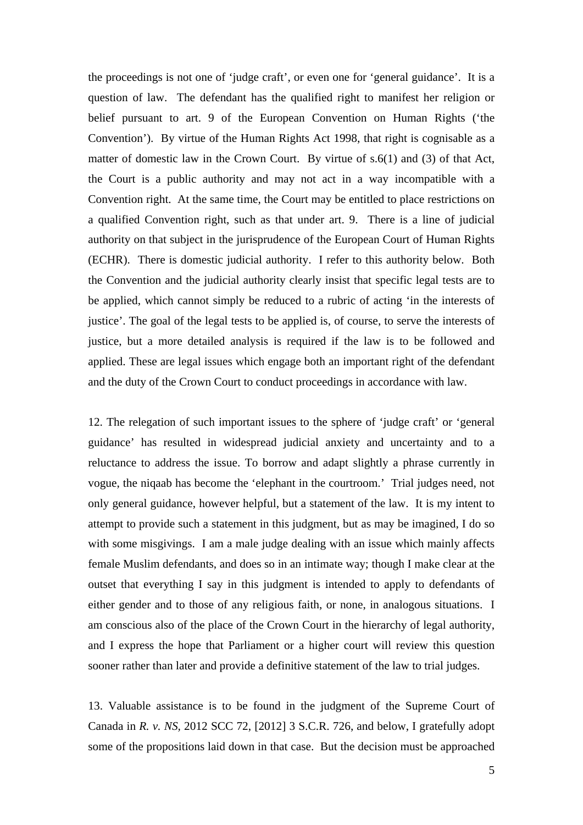the proceedings is not one of 'judge craft', or even one for 'general guidance'. It is a question of law. The defendant has the qualified right to manifest her religion or belief pursuant to art. 9 of the European Convention on Human Rights ('the Convention'). By virtue of the Human Rights Act 1998, that right is cognisable as a matter of domestic law in the Crown Court. By virtue of s.6(1) and (3) of that Act, the Court is a public authority and may not act in a way incompatible with a Convention right. At the same time, the Court may be entitled to place restrictions on a qualified Convention right, such as that under art. 9. There is a line of judicial authority on that subject in the jurisprudence of the European Court of Human Rights (ECHR). There is domestic judicial authority. I refer to this authority below. Both the Convention and the judicial authority clearly insist that specific legal tests are to be applied, which cannot simply be reduced to a rubric of acting 'in the interests of justice'. The goal of the legal tests to be applied is, of course, to serve the interests of justice, but a more detailed analysis is required if the law is to be followed and applied. These are legal issues which engage both an important right of the defendant and the duty of the Crown Court to conduct proceedings in accordance with law.

12. The relegation of such important issues to the sphere of 'judge craft' or 'general guidance' has resulted in widespread judicial anxiety and uncertainty and to a reluctance to address the issue. To borrow and adapt slightly a phrase currently in vogue, the niqaab has become the 'elephant in the courtroom.' Trial judges need, not only general guidance, however helpful, but a statement of the law. It is my intent to attempt to provide such a statement in this judgment, but as may be imagined, I do so with some misgivings. I am a male judge dealing with an issue which mainly affects female Muslim defendants, and does so in an intimate way; though I make clear at the outset that everything I say in this judgment is intended to apply to defendants of either gender and to those of any religious faith, or none, in analogous situations. I am conscious also of the place of the Crown Court in the hierarchy of legal authority, and I express the hope that Parliament or a higher court will review this question sooner rather than later and provide a definitive statement of the law to trial judges.

13. Valuable assistance is to be found in the judgment of the Supreme Court of Canada in *R. v. NS,* 2012 SCC 72, [2012] 3 S.C.R. 726, and below, I gratefully adopt some of the propositions laid down in that case. But the decision must be approached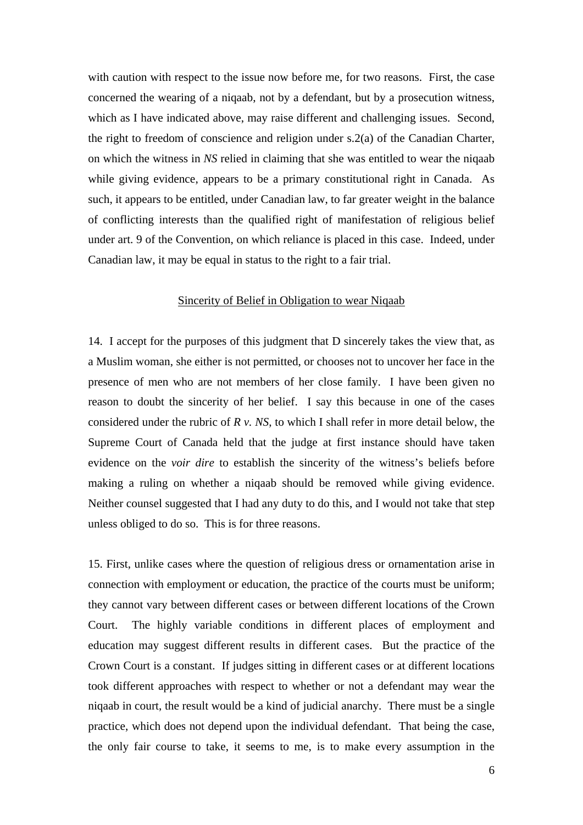with caution with respect to the issue now before me, for two reasons. First, the case concerned the wearing of a niqaab, not by a defendant, but by a prosecution witness, which as I have indicated above, may raise different and challenging issues. Second, the right to freedom of conscience and religion under s.2(a) of the Canadian Charter, on which the witness in *NS* relied in claiming that she was entitled to wear the niqaab while giving evidence, appears to be a primary constitutional right in Canada. As such, it appears to be entitled, under Canadian law, to far greater weight in the balance of conflicting interests than the qualified right of manifestation of religious belief under art. 9 of the Convention, on which reliance is placed in this case. Indeed, under Canadian law, it may be equal in status to the right to a fair trial.

#### Sincerity of Belief in Obligation to wear Niqaab

14. I accept for the purposes of this judgment that D sincerely takes the view that, as a Muslim woman, she either is not permitted, or chooses not to uncover her face in the presence of men who are not members of her close family. I have been given no reason to doubt the sincerity of her belief. I say this because in one of the cases considered under the rubric of *R v. NS*, to which I shall refer in more detail below, the Supreme Court of Canada held that the judge at first instance should have taken evidence on the *voir dire* to establish the sincerity of the witness's beliefs before making a ruling on whether a niqaab should be removed while giving evidence. Neither counsel suggested that I had any duty to do this, and I would not take that step unless obliged to do so. This is for three reasons.

15. First, unlike cases where the question of religious dress or ornamentation arise in connection with employment or education, the practice of the courts must be uniform; they cannot vary between different cases or between different locations of the Crown Court. The highly variable conditions in different places of employment and education may suggest different results in different cases. But the practice of the Crown Court is a constant. If judges sitting in different cases or at different locations took different approaches with respect to whether or not a defendant may wear the niqaab in court, the result would be a kind of judicial anarchy. There must be a single practice, which does not depend upon the individual defendant. That being the case, the only fair course to take, it seems to me, is to make every assumption in the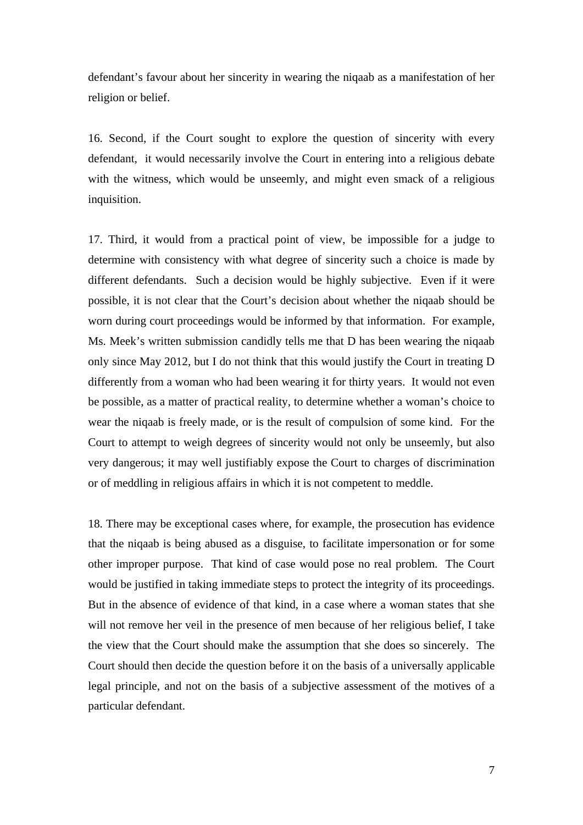defendant's favour about her sincerity in wearing the niqaab as a manifestation of her religion or belief.

16. Second, if the Court sought to explore the question of sincerity with every defendant, it would necessarily involve the Court in entering into a religious debate with the witness, which would be unseemly, and might even smack of a religious inquisition.

17. Third, it would from a practical point of view, be impossible for a judge to determine with consistency with what degree of sincerity such a choice is made by different defendants. Such a decision would be highly subjective. Even if it were possible, it is not clear that the Court's decision about whether the niqaab should be worn during court proceedings would be informed by that information. For example, Ms. Meek's written submission candidly tells me that D has been wearing the niqaab only since May 2012, but I do not think that this would justify the Court in treating D differently from a woman who had been wearing it for thirty years. It would not even be possible, as a matter of practical reality, to determine whether a woman's choice to wear the niqaab is freely made, or is the result of compulsion of some kind. For the Court to attempt to weigh degrees of sincerity would not only be unseemly, but also very dangerous; it may well justifiably expose the Court to charges of discrimination or of meddling in religious affairs in which it is not competent to meddle.

18. There may be exceptional cases where, for example, the prosecution has evidence that the niqaab is being abused as a disguise, to facilitate impersonation or for some other improper purpose. That kind of case would pose no real problem. The Court would be justified in taking immediate steps to protect the integrity of its proceedings. But in the absence of evidence of that kind, in a case where a woman states that she will not remove her veil in the presence of men because of her religious belief, I take the view that the Court should make the assumption that she does so sincerely. The Court should then decide the question before it on the basis of a universally applicable legal principle, and not on the basis of a subjective assessment of the motives of a particular defendant.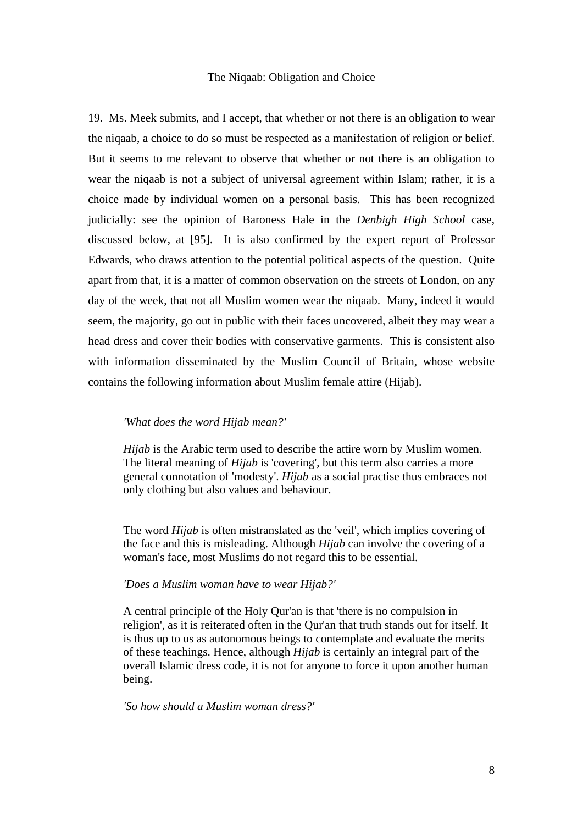#### The Niqaab: Obligation and Choice

19. Ms. Meek submits, and I accept, that whether or not there is an obligation to wear the niqaab, a choice to do so must be respected as a manifestation of religion or belief. But it seems to me relevant to observe that whether or not there is an obligation to wear the niqaab is not a subject of universal agreement within Islam; rather, it is a choice made by individual women on a personal basis. This has been recognized judicially: see the opinion of Baroness Hale in the *Denbigh High School* case, discussed below, at [95]. It is also confirmed by the expert report of Professor Edwards, who draws attention to the potential political aspects of the question. Quite apart from that, it is a matter of common observation on the streets of London, on any day of the week, that not all Muslim women wear the niqaab. Many, indeed it would seem, the majority, go out in public with their faces uncovered, albeit they may wear a head dress and cover their bodies with conservative garments. This is consistent also with information disseminated by the Muslim Council of Britain, whose website contains the following information about Muslim female attire (Hijab).

### *'What does the word Hijab mean?'*

*Hijab* is the Arabic term used to describe the attire worn by Muslim women. The literal meaning of *Hijab* is 'covering', but this term also carries a more general connotation of 'modesty'. *Hijab* as a social practise thus embraces not only clothing but also values and behaviour.

The word *Hijab* is often mistranslated as the 'veil', which implies covering of the face and this is misleading. Although *Hijab* can involve the covering of a woman's face, most Muslims do not regard this to be essential.

#### *'Does a Muslim woman have to wear Hijab?'*

A central principle of the Holy Qur'an is that 'there is no compulsion in religion', as it is reiterated often in the Qur'an that truth stands out for itself. It is thus up to us as autonomous beings to contemplate and evaluate the merits of these teachings. Hence, although *Hijab* is certainly an integral part of the overall Islamic dress code, it is not for anyone to force it upon another human being.

*'So how should a Muslim woman dress?'*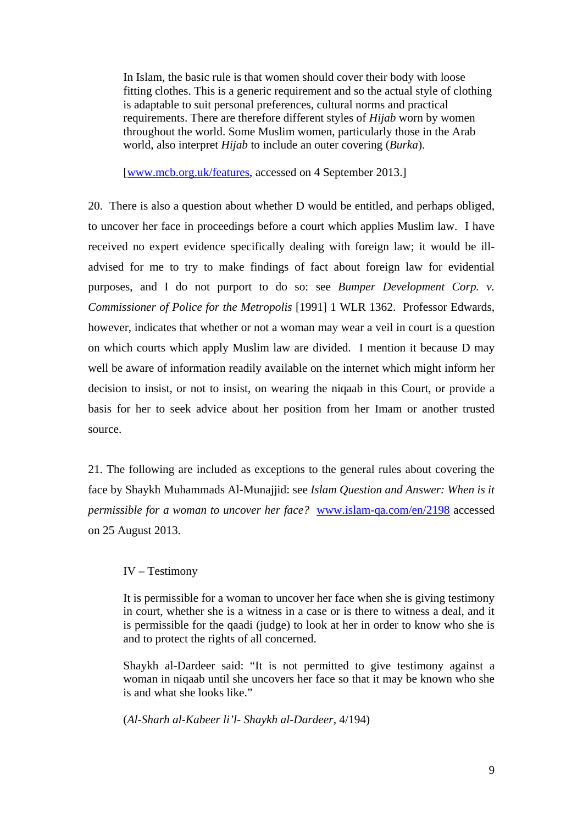In Islam, the basic rule is that women should cover their body with loose fitting clothes. This is a generic requirement and so the actual style of clothing is adaptable to suit personal preferences, cultural norms and practical requirements. There are therefore different styles of *Hijab* worn by women throughout the world. Some Muslim women, particularly those in the Arab world, also interpret *Hijab* to include an outer covering (*Burka*).

[[www.mcb.org.uk/features,](http://www.mcb.org.uk/features) accessed on 4 September 2013.]

20. There is also a question about whether D would be entitled, and perhaps obliged, to uncover her face in proceedings before a court which applies Muslim law. I have received no expert evidence specifically dealing with foreign law; it would be illadvised for me to try to make findings of fact about foreign law for evidential purposes, and I do not purport to do so: see *Bumper Development Corp. v. Commissioner of Police for the Metropolis* [1991] 1 WLR 1362. Professor Edwards, however, indicates that whether or not a woman may wear a veil in court is a question on which courts which apply Muslim law are divided. I mention it because D may well be aware of information readily available on the internet which might inform her decision to insist, or not to insist, on wearing the niqaab in this Court, or provide a basis for her to seek advice about her position from her Imam or another trusted source.

21. The following are included as exceptions to the general rules about covering the face by Shaykh Muhammads Al-Munajjid: see *Islam Question and Answer: When is it permissible for a woman to uncover her face?* [www.islam-qa.com/en/2198](http://www.islam-qa.com/en/2198) accessed on 25 August 2013.

## IV – Testimony

It is permissible for a woman to uncover her face when she is giving testimony in court, whether she is a witness in a case or is there to witness a deal, and it is permissible for the qaadi (judge) to look at her in order to know who she is and to protect the rights of all concerned.

Shaykh al-Dardeer said: "It is not permitted to give testimony against a woman in niqaab until she uncovers her face so that it may be known who she is and what she looks like."

(*Al-Sharh al-Kabeer li'l- Shaykh al-Dardeer*, 4/194)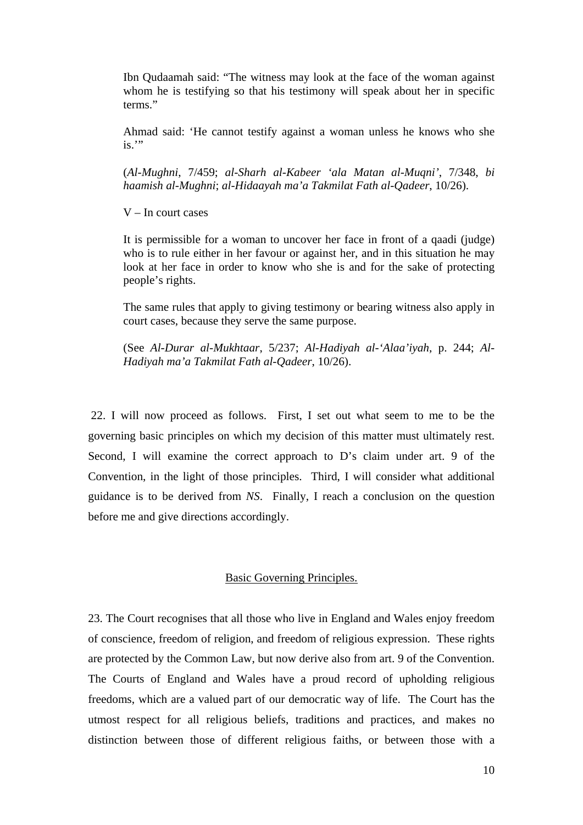Ibn Qudaamah said: "The witness may look at the face of the woman against whom he is testifying so that his testimony will speak about her in specific terms."

Ahmad said: 'He cannot testify against a woman unless he knows who she  $is.$ "

(*Al-Mughni*, 7/459; *al-Sharh al-Kabeer 'ala Matan al-Muqni'*, 7/348, *bi haamish al-Mughni*; *al-Hidaayah ma'a Takmilat Fath al-Qadeer*, 10/26).

V – In court cases

It is permissible for a woman to uncover her face in front of a qaadi (judge) who is to rule either in her favour or against her, and in this situation he may look at her face in order to know who she is and for the sake of protecting people's rights.

The same rules that apply to giving testimony or bearing witness also apply in court cases, because they serve the same purpose.

(See *Al-Durar al-Mukhtaar*, 5/237; *Al-Hadiyah al-'Alaa'iyah*, p. 244; *Al-Hadiyah ma'a Takmilat Fath al-Qadeer*, 10/26).

 22. I will now proceed as follows. First, I set out what seem to me to be the governing basic principles on which my decision of this matter must ultimately rest. Second, I will examine the correct approach to D's claim under art. 9 of the Convention, in the light of those principles. Third, I will consider what additional guidance is to be derived from *NS*. Finally, I reach a conclusion on the question before me and give directions accordingly.

### Basic Governing Principles.

23. The Court recognises that all those who live in England and Wales enjoy freedom of conscience, freedom of religion, and freedom of religious expression. These rights are protected by the Common Law, but now derive also from art. 9 of the Convention. The Courts of England and Wales have a proud record of upholding religious freedoms, which are a valued part of our democratic way of life. The Court has the utmost respect for all religious beliefs, traditions and practices, and makes no distinction between those of different religious faiths, or between those with a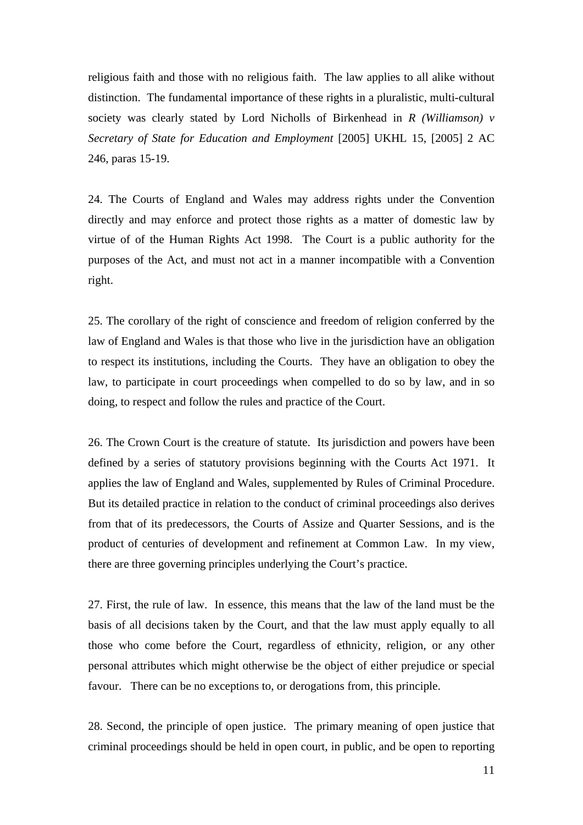religious faith and those with no religious faith. The law applies to all alike without distinction. The fundamental importance of these rights in a pluralistic, multi-cultural society was clearly stated by Lord Nicholls of Birkenhead in *R (Williamson) v Secretary of State for Education and Employment* [2005] UKHL 15, [2005] 2 AC 246, paras 15-19.

24. The Courts of England and Wales may address rights under the Convention directly and may enforce and protect those rights as a matter of domestic law by virtue of of the Human Rights Act 1998. The Court is a public authority for the purposes of the Act, and must not act in a manner incompatible with a Convention right.

25. The corollary of the right of conscience and freedom of religion conferred by the law of England and Wales is that those who live in the jurisdiction have an obligation to respect its institutions, including the Courts. They have an obligation to obey the law, to participate in court proceedings when compelled to do so by law, and in so doing, to respect and follow the rules and practice of the Court.

26. The Crown Court is the creature of statute. Its jurisdiction and powers have been defined by a series of statutory provisions beginning with the Courts Act 1971. It applies the law of England and Wales, supplemented by Rules of Criminal Procedure. But its detailed practice in relation to the conduct of criminal proceedings also derives from that of its predecessors, the Courts of Assize and Quarter Sessions, and is the product of centuries of development and refinement at Common Law. In my view, there are three governing principles underlying the Court's practice.

27. First, the rule of law. In essence, this means that the law of the land must be the basis of all decisions taken by the Court, and that the law must apply equally to all those who come before the Court, regardless of ethnicity, religion, or any other personal attributes which might otherwise be the object of either prejudice or special favour. There can be no exceptions to, or derogations from, this principle.

28. Second, the principle of open justice. The primary meaning of open justice that criminal proceedings should be held in open court, in public, and be open to reporting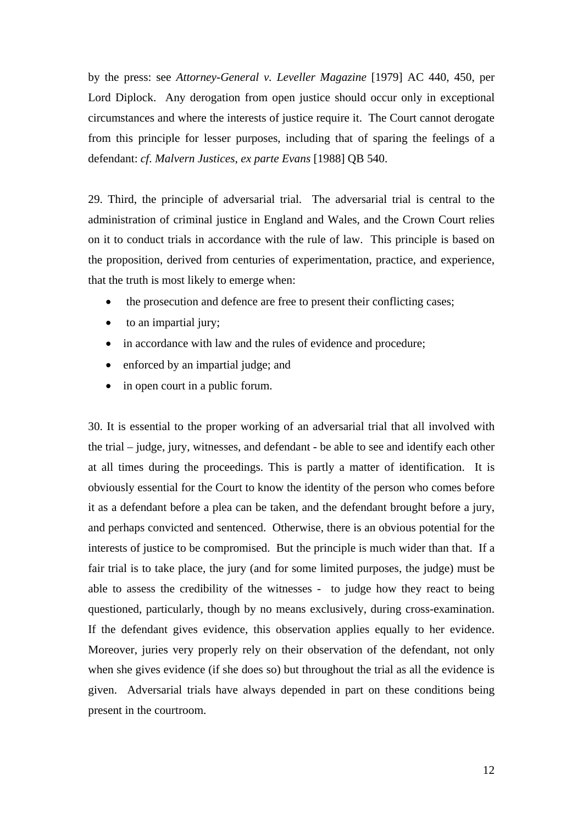by the press: see *Attorney-General v. Leveller Magazine* [1979] AC 440, 450, per Lord Diplock. Any derogation from open justice should occur only in exceptional circumstances and where the interests of justice require it. The Court cannot derogate from this principle for lesser purposes, including that of sparing the feelings of a defendant: *cf*. *Malvern Justices, ex parte Evans* [1988] QB 540.

29. Third, the principle of adversarial trial. The adversarial trial is central to the administration of criminal justice in England and Wales, and the Crown Court relies on it to conduct trials in accordance with the rule of law. This principle is based on the proposition, derived from centuries of experimentation, practice, and experience, that the truth is most likely to emerge when:

- the prosecution and defence are free to present their conflicting cases;
- to an impartial jury;
- in accordance with law and the rules of evidence and procedure;
- enforced by an impartial judge; and
- in open court in a public forum.

30. It is essential to the proper working of an adversarial trial that all involved with the trial – judge, jury, witnesses, and defendant - be able to see and identify each other at all times during the proceedings. This is partly a matter of identification. It is obviously essential for the Court to know the identity of the person who comes before it as a defendant before a plea can be taken, and the defendant brought before a jury, and perhaps convicted and sentenced. Otherwise, there is an obvious potential for the interests of justice to be compromised. But the principle is much wider than that. If a fair trial is to take place, the jury (and for some limited purposes, the judge) must be able to assess the credibility of the witnesses - to judge how they react to being questioned, particularly, though by no means exclusively, during cross-examination. If the defendant gives evidence, this observation applies equally to her evidence. Moreover, juries very properly rely on their observation of the defendant, not only when she gives evidence (if she does so) but throughout the trial as all the evidence is given. Adversarial trials have always depended in part on these conditions being present in the courtroom.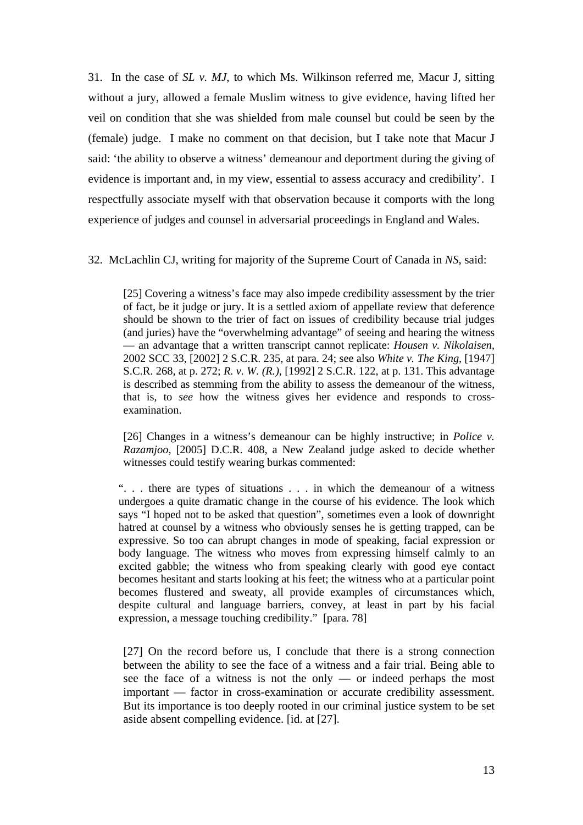31. In the case of *SL v. MJ*, to which Ms. Wilkinson referred me, Macur J, sitting without a jury, allowed a female Muslim witness to give evidence, having lifted her veil on condition that she was shielded from male counsel but could be seen by the (female) judge. I make no comment on that decision, but I take note that Macur J said: 'the ability to observe a witness' demeanour and deportment during the giving of evidence is important and, in my view, essential to assess accuracy and credibility'. I respectfully associate myself with that observation because it comports with the long experience of judges and counsel in adversarial proceedings in England and Wales.

32. McLachlin CJ, writing for majority of the Supreme Court of Canada in *NS*, said:

[25] Covering a witness's face may also impede credibility assessment by the trier of fact, be it judge or jury. It is a settled axiom of appellate review that deference should be shown to the trier of fact on issues of credibility because trial judges (and juries) have the "overwhelming advantage" of seeing and hearing the witness — an advantage that a written transcript cannot replicate: *Housen v. Nikolaisen*, 2002 SCC 33, [2002] 2 S.C.R. 235, at para. 24; see also *White v. The King*, [1947] S.C.R. 268, at p. 272; *R. v. W. (R.)*, [1992] 2 S.C.R. 122, at p. 131. This advantage is described as stemming from the ability to assess the demeanour of the witness, that is, to *see* how the witness gives her evidence and responds to crossexamination.

[26] Changes in a witness's demeanour can be highly instructive; in *Police v. Razamjoo*, [2005] D.C.R. 408, a New Zealand judge asked to decide whether witnesses could testify wearing burkas commented:

". . . there are types of situations . . . in which the demeanour of a witness undergoes a quite dramatic change in the course of his evidence. The look which says "I hoped not to be asked that question", sometimes even a look of downright hatred at counsel by a witness who obviously senses he is getting trapped, can be expressive. So too can abrupt changes in mode of speaking, facial expression or body language. The witness who moves from expressing himself calmly to an excited gabble; the witness who from speaking clearly with good eye contact becomes hesitant and starts looking at his feet; the witness who at a particular point becomes flustered and sweaty, all provide examples of circumstances which, despite cultural and language barriers, convey, at least in part by his facial expression, a message touching credibility." [para. 78]

[27] On the record before us, I conclude that there is a strong connection between the ability to see the face of a witness and a fair trial. Being able to see the face of a witness is not the only — or indeed perhaps the most important — factor in cross-examination or accurate credibility assessment. But its importance is too deeply rooted in our criminal justice system to be set aside absent compelling evidence. [id. at [27].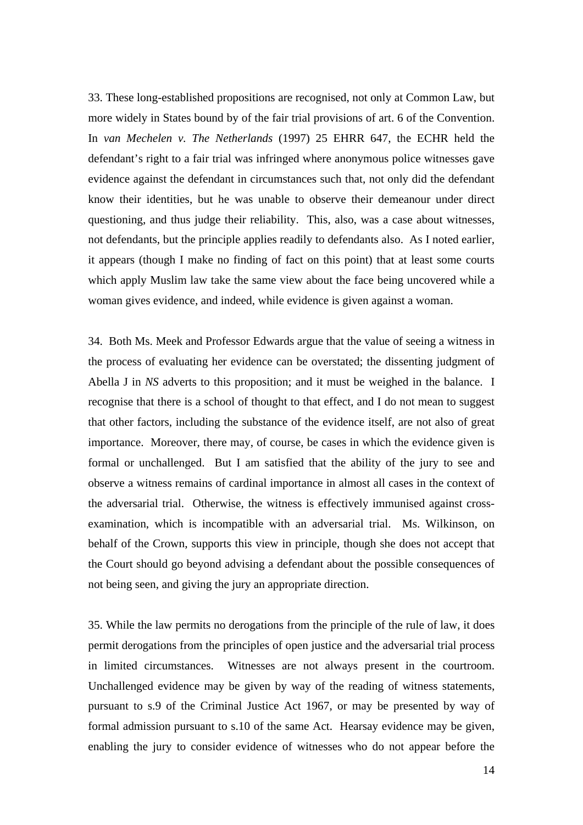33. These long-established propositions are recognised, not only at Common Law, but more widely in States bound by of the fair trial provisions of art. 6 of the Convention. In *van Mechelen v. The Netherlands* (1997) 25 EHRR 647, the ECHR held the defendant's right to a fair trial was infringed where anonymous police witnesses gave evidence against the defendant in circumstances such that, not only did the defendant know their identities, but he was unable to observe their demeanour under direct questioning, and thus judge their reliability. This, also, was a case about witnesses, not defendants, but the principle applies readily to defendants also. As I noted earlier, it appears (though I make no finding of fact on this point) that at least some courts which apply Muslim law take the same view about the face being uncovered while a woman gives evidence, and indeed, while evidence is given against a woman.

34. Both Ms. Meek and Professor Edwards argue that the value of seeing a witness in the process of evaluating her evidence can be overstated; the dissenting judgment of Abella J in *NS* adverts to this proposition; and it must be weighed in the balance. I recognise that there is a school of thought to that effect, and I do not mean to suggest that other factors, including the substance of the evidence itself, are not also of great importance. Moreover, there may, of course, be cases in which the evidence given is formal or unchallenged. But I am satisfied that the ability of the jury to see and observe a witness remains of cardinal importance in almost all cases in the context of the adversarial trial. Otherwise, the witness is effectively immunised against crossexamination, which is incompatible with an adversarial trial. Ms. Wilkinson, on behalf of the Crown, supports this view in principle, though she does not accept that the Court should go beyond advising a defendant about the possible consequences of not being seen, and giving the jury an appropriate direction.

35. While the law permits no derogations from the principle of the rule of law, it does permit derogations from the principles of open justice and the adversarial trial process in limited circumstances. Witnesses are not always present in the courtroom. Unchallenged evidence may be given by way of the reading of witness statements, pursuant to s.9 of the Criminal Justice Act 1967, or may be presented by way of formal admission pursuant to s.10 of the same Act. Hearsay evidence may be given, enabling the jury to consider evidence of witnesses who do not appear before the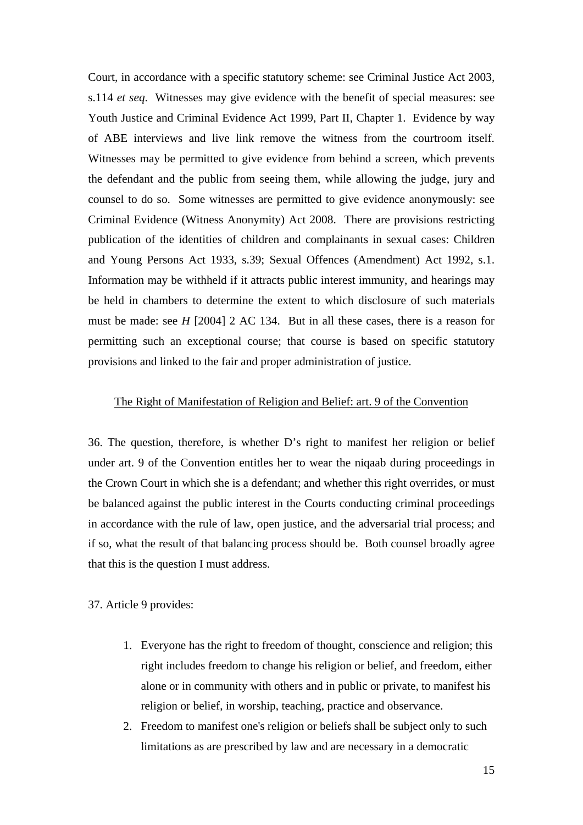Court, in accordance with a specific statutory scheme: see Criminal Justice Act 2003, s.114 *et seq*. Witnesses may give evidence with the benefit of special measures: see Youth Justice and Criminal Evidence Act 1999, Part II, Chapter 1. Evidence by way of ABE interviews and live link remove the witness from the courtroom itself. Witnesses may be permitted to give evidence from behind a screen, which prevents the defendant and the public from seeing them, while allowing the judge, jury and counsel to do so. Some witnesses are permitted to give evidence anonymously: see Criminal Evidence (Witness Anonymity) Act 2008. There are provisions restricting publication of the identities of children and complainants in sexual cases: Children and Young Persons Act 1933, s.39; Sexual Offences (Amendment) Act 1992, s.1. Information may be withheld if it attracts public interest immunity, and hearings may be held in chambers to determine the extent to which disclosure of such materials must be made: see *H* [2004] 2 AC 134. But in all these cases, there is a reason for permitting such an exceptional course; that course is based on specific statutory provisions and linked to the fair and proper administration of justice.

## The Right of Manifestation of Religion and Belief: art. 9 of the Convention

36. The question, therefore, is whether D's right to manifest her religion or belief under art. 9 of the Convention entitles her to wear the niqaab during proceedings in the Crown Court in which she is a defendant; and whether this right overrides, or must be balanced against the public interest in the Courts conducting criminal proceedings in accordance with the rule of law, open justice, and the adversarial trial process; and if so, what the result of that balancing process should be. Both counsel broadly agree that this is the question I must address.

37. Article 9 provides:

- 1. Everyone has the right to freedom of thought, conscience and religion; this right includes freedom to change his religion or belief, and freedom, either alone or in community with others and in public or private, to manifest his religion or belief, in worship, teaching, practice and observance.
- 2. Freedom to manifest one's religion or beliefs shall be subject only to such limitations as are prescribed by law and are necessary in a democratic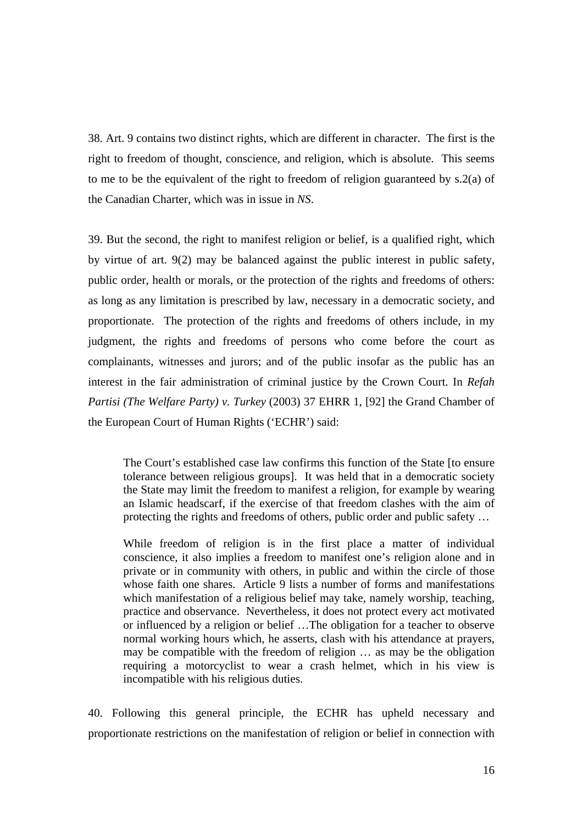38. Art. 9 contains two distinct rights, which are different in character. The first is the right to freedom of thought, conscience, and religion, which is absolute. This seems to me to be the equivalent of the right to freedom of religion guaranteed by s.2(a) of the Canadian Charter, which was in issue in *NS*.

39. But the second, the right to manifest religion or belief, is a qualified right, which by virtue of art. 9(2) may be balanced against the public interest in public safety, public order, health or morals, or the protection of the rights and freedoms of others: as long as any limitation is prescribed by law, necessary in a democratic society, and proportionate. The protection of the rights and freedoms of others include, in my judgment, the rights and freedoms of persons who come before the court as complainants, witnesses and jurors; and of the public insofar as the public has an interest in the fair administration of criminal justice by the Crown Court. In *Refah Partisi (The Welfare Party) v. Turkey* (2003) 37 EHRR 1, [92] the Grand Chamber of the European Court of Human Rights ('ECHR') said:

The Court's established case law confirms this function of the State [to ensure tolerance between religious groups]. It was held that in a democratic society the State may limit the freedom to manifest a religion, for example by wearing an Islamic headscarf, if the exercise of that freedom clashes with the aim of protecting the rights and freedoms of others, public order and public safety …

While freedom of religion is in the first place a matter of individual conscience, it also implies a freedom to manifest one's religion alone and in private or in community with others, in public and within the circle of those whose faith one shares. Article 9 lists a number of forms and manifestations which manifestation of a religious belief may take, namely worship, teaching, practice and observance. Nevertheless, it does not protect every act motivated or influenced by a religion or belief …The obligation for a teacher to observe normal working hours which, he asserts, clash with his attendance at prayers, may be compatible with the freedom of religion … as may be the obligation requiring a motorcyclist to wear a crash helmet, which in his view is incompatible with his religious duties.

40. Following this general principle, the ECHR has upheld necessary and proportionate restrictions on the manifestation of religion or belief in connection with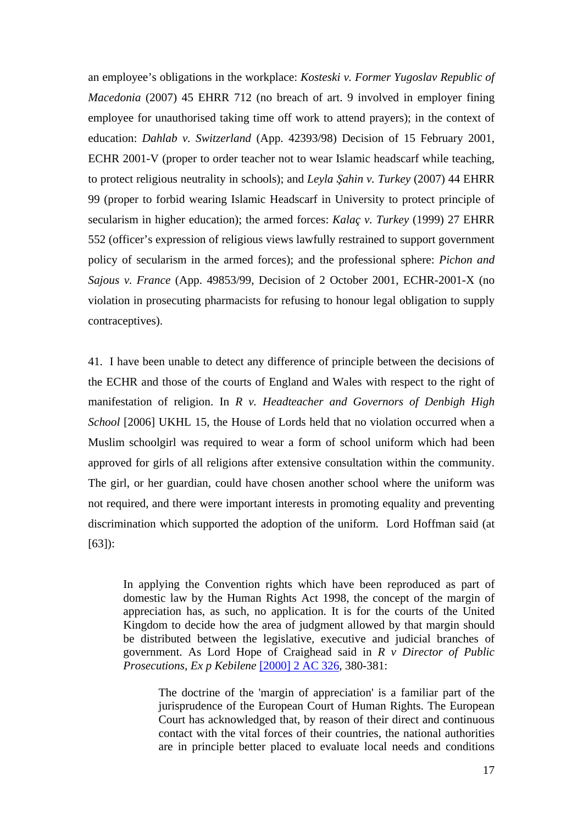an employee's obligations in the workplace: *Kosteski v. Former Yugoslav Republic of Macedonia* (2007) 45 EHRR 712 (no breach of art. 9 involved in employer fining employee for unauthorised taking time off work to attend prayers); in the context of education: *Dahlab v. Switzerland* (App. 42393/98) Decision of 15 February 2001, ECHR 2001-V (proper to order teacher not to wear Islamic headscarf while teaching, to protect religious neutrality in schools); and *Leyla Şahin v. Turkey* (2007) 44 EHRR 99 (proper to forbid wearing Islamic Headscarf in University to protect principle of secularism in higher education); the armed forces: *Kalaç v. Turkey* (1999) 27 EHRR 552 (officer's expression of religious views lawfully restrained to support government policy of secularism in the armed forces); and the professional sphere: *Pichon and Sajous v. France* (App. 49853/99, Decision of 2 October 2001, ECHR-2001-X (no violation in prosecuting pharmacists for refusing to honour legal obligation to supply contraceptives).

41. I have been unable to detect any difference of principle between the decisions of the ECHR and those of the courts of England and Wales with respect to the right of manifestation of religion. In *R v. Headteacher and Governors of Denbigh High School* [2006] UKHL 15, the House of Lords held that no violation occurred when a Muslim schoolgirl was required to wear a form of school uniform which had been approved for girls of all religions after extensive consultation within the community. The girl, or her guardian, could have chosen another school where the uniform was not required, and there were important interests in promoting equality and preventing discrimination which supported the adoption of the uniform. Lord Hoffman said (at [63]):

In applying the Convention rights which have been reproduced as part of domestic law by the Human Rights Act 1998, the concept of the margin of appreciation has, as such, no application. It is for the courts of the United Kingdom to decide how the area of judgment allowed by that margin should be distributed between the legislative, executive and judicial branches of government. As Lord Hope of Craighead said in *R v Director of Public Prosecutions, Ex p Kebilene* [\[2000\] 2 AC 326,](http://www.bailii.org/cgi-bin/redirect.cgi?path=/uk/cases/UKHL/1999/43.html) 380-381:

The doctrine of the 'margin of appreciation' is a familiar part of the jurisprudence of the European Court of Human Rights. The European Court has acknowledged that, by reason of their direct and continuous contact with the vital forces of their countries, the national authorities are in principle better placed to evaluate local needs and conditions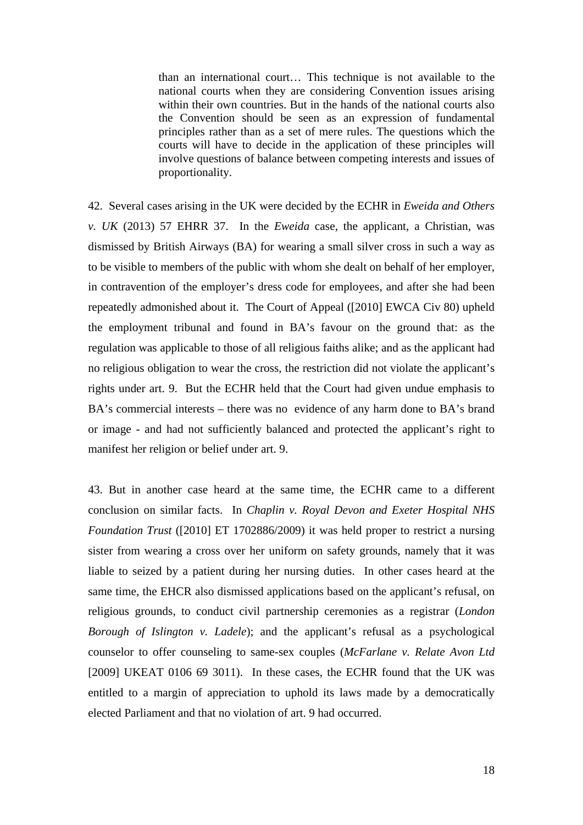than an international court… This technique is not available to the national courts when they are considering Convention issues arising within their own countries. But in the hands of the national courts also the Convention should be seen as an expression of fundamental principles rather than as a set of mere rules. The questions which the courts will have to decide in the application of these principles will involve questions of balance between competing interests and issues of proportionality.

42. Several cases arising in the UK were decided by the ECHR in *Eweida and Others v. UK* (2013) 57 EHRR 37. In the *Eweida* case, the applicant, a Christian, was dismissed by British Airways (BA) for wearing a small silver cross in such a way as to be visible to members of the public with whom she dealt on behalf of her employer, in contravention of the employer's dress code for employees, and after she had been repeatedly admonished about it. The Court of Appeal ([2010] EWCA Civ 80) upheld the employment tribunal and found in BA's favour on the ground that: as the regulation was applicable to those of all religious faiths alike; and as the applicant had no religious obligation to wear the cross, the restriction did not violate the applicant's rights under art. 9. But the ECHR held that the Court had given undue emphasis to BA's commercial interests – there was no evidence of any harm done to BA's brand or image - and had not sufficiently balanced and protected the applicant's right to manifest her religion or belief under art. 9.

43. But in another case heard at the same time, the ECHR came to a different conclusion on similar facts. In *Chaplin v. Royal Devon and Exeter Hospital NHS Foundation Trust* ([2010] ET 1702886/2009) it was held proper to restrict a nursing sister from wearing a cross over her uniform on safety grounds, namely that it was liable to seized by a patient during her nursing duties. In other cases heard at the same time, the EHCR also dismissed applications based on the applicant's refusal, on religious grounds, to conduct civil partnership ceremonies as a registrar (*London Borough of Islington v. Ladele*); and the applicant's refusal as a psychological counselor to offer counseling to same-sex couples (*McFarlane v. Relate Avon Ltd*  [2009] UKEAT 0106 69 3011). In these cases, the ECHR found that the UK was entitled to a margin of appreciation to uphold its laws made by a democratically elected Parliament and that no violation of art. 9 had occurred.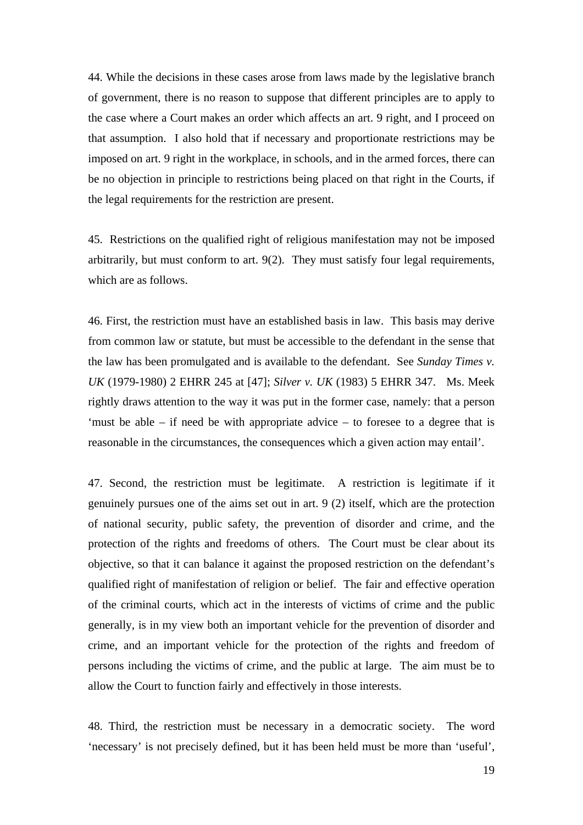44. While the decisions in these cases arose from laws made by the legislative branch of government, there is no reason to suppose that different principles are to apply to the case where a Court makes an order which affects an art. 9 right, and I proceed on that assumption. I also hold that if necessary and proportionate restrictions may be imposed on art. 9 right in the workplace, in schools, and in the armed forces, there can be no objection in principle to restrictions being placed on that right in the Courts, if the legal requirements for the restriction are present.

45. Restrictions on the qualified right of religious manifestation may not be imposed arbitrarily, but must conform to art. 9(2). They must satisfy four legal requirements, which are as follows.

46. First, the restriction must have an established basis in law. This basis may derive from common law or statute, but must be accessible to the defendant in the sense that the law has been promulgated and is available to the defendant. See *Sunday Times v. UK* (1979-1980) 2 EHRR 245 at [47]; *Silver v. UK* (1983) 5 EHRR 347. Ms. Meek rightly draws attention to the way it was put in the former case, namely: that a person 'must be able – if need be with appropriate advice – to foresee to a degree that is reasonable in the circumstances, the consequences which a given action may entail'.

47. Second, the restriction must be legitimate. A restriction is legitimate if it genuinely pursues one of the aims set out in art. 9 (2) itself, which are the protection of national security, public safety, the prevention of disorder and crime, and the protection of the rights and freedoms of others. The Court must be clear about its objective, so that it can balance it against the proposed restriction on the defendant's qualified right of manifestation of religion or belief. The fair and effective operation of the criminal courts, which act in the interests of victims of crime and the public generally, is in my view both an important vehicle for the prevention of disorder and crime, and an important vehicle for the protection of the rights and freedom of persons including the victims of crime, and the public at large. The aim must be to allow the Court to function fairly and effectively in those interests.

48. Third, the restriction must be necessary in a democratic society. The word 'necessary' is not precisely defined, but it has been held must be more than 'useful',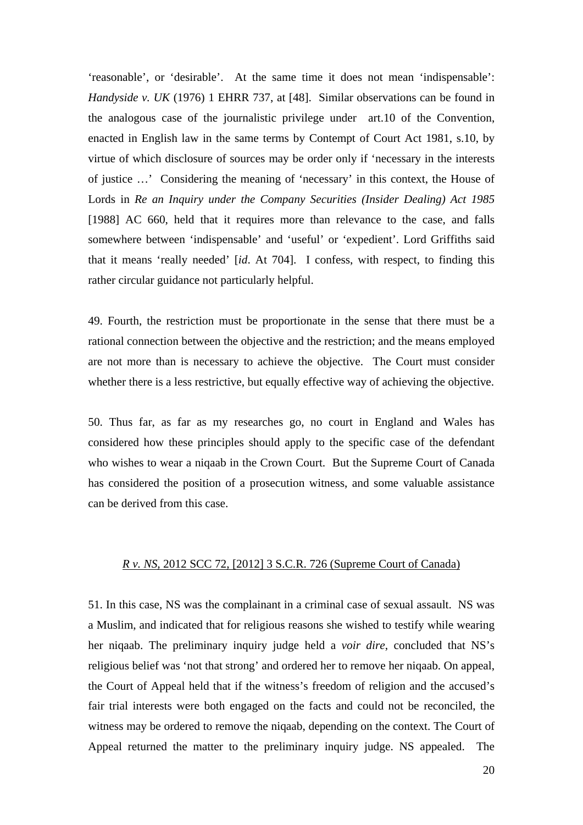'reasonable', or 'desirable'. At the same time it does not mean 'indispensable': *Handyside v. UK* (1976) 1 EHRR 737, at [48]. Similar observations can be found in the analogous case of the journalistic privilege under art.10 of the Convention, enacted in English law in the same terms by Contempt of Court Act 1981, s.10, by virtue of which disclosure of sources may be order only if 'necessary in the interests of justice …' Considering the meaning of 'necessary' in this context, the House of Lords in *Re an Inquiry under the Company Securities (Insider Dealing) Act 1985*  [1988] AC 660, held that it requires more than relevance to the case, and falls somewhere between 'indispensable' and 'useful' or 'expedient'. Lord Griffiths said that it means 'really needed' [*id*. At 704]. I confess, with respect, to finding this rather circular guidance not particularly helpful.

49. Fourth, the restriction must be proportionate in the sense that there must be a rational connection between the objective and the restriction; and the means employed are not more than is necessary to achieve the objective. The Court must consider whether there is a less restrictive, but equally effective way of achieving the objective.

50. Thus far, as far as my researches go, no court in England and Wales has considered how these principles should apply to the specific case of the defendant who wishes to wear a niqaab in the Crown Court. But the Supreme Court of Canada has considered the position of a prosecution witness, and some valuable assistance can be derived from this case.

### *R v. NS,* 2012 SCC 72, [2012] 3 S.C.R. 726 (Supreme Court of Canada)

51. In this case, NS was the complainant in a criminal case of sexual assault. NS was a Muslim, and indicated that for religious reasons she wished to testify while wearing her niqaab. The preliminary inquiry judge held a *voir dire*, concluded that NS's religious belief was 'not that strong' and ordered her to remove her niqaab. On appeal, the Court of Appeal held that if the witness's freedom of religion and the accused's fair trial interests were both engaged on the facts and could not be reconciled, the witness may be ordered to remove the niqaab, depending on the context. The Court of Appeal returned the matter to the preliminary inquiry judge. NS appealed. The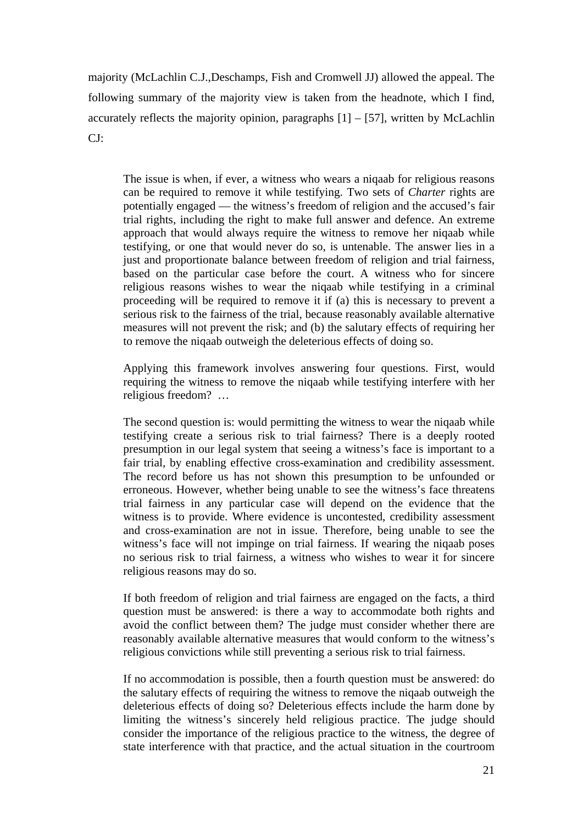majority (McLachlin C.J.,Deschamps, Fish and Cromwell JJ) allowed the appeal. The following summary of the majority view is taken from the headnote, which I find, accurately reflects the majority opinion, paragraphs  $[1] - [57]$ , written by McLachlin CJ:

The issue is when, if ever, a witness who wears a niqaab for religious reasons can be required to remove it while testifying. Two sets of *Charter* rights are potentially engaged — the witness's freedom of religion and the accused's fair trial rights, including the right to make full answer and defence. An extreme approach that would always require the witness to remove her niqaab while testifying, or one that would never do so, is untenable. The answer lies in a just and proportionate balance between freedom of religion and trial fairness, based on the particular case before the court. A witness who for sincere religious reasons wishes to wear the niqaab while testifying in a criminal proceeding will be required to remove it if (a) this is necessary to prevent a serious risk to the fairness of the trial, because reasonably available alternative measures will not prevent the risk; and (b) the salutary effects of requiring her to remove the niqaab outweigh the deleterious effects of doing so.

Applying this framework involves answering four questions. First, would requiring the witness to remove the niqaab while testifying interfere with her religious freedom? …

The second question is: would permitting the witness to wear the niqaab while testifying create a serious risk to trial fairness? There is a deeply rooted presumption in our legal system that seeing a witness's face is important to a fair trial, by enabling effective cross-examination and credibility assessment. The record before us has not shown this presumption to be unfounded or erroneous. However, whether being unable to see the witness's face threatens trial fairness in any particular case will depend on the evidence that the witness is to provide. Where evidence is uncontested, credibility assessment and cross-examination are not in issue. Therefore, being unable to see the witness's face will not impinge on trial fairness. If wearing the niqaab poses no serious risk to trial fairness, a witness who wishes to wear it for sincere religious reasons may do so.

If both freedom of religion and trial fairness are engaged on the facts, a third question must be answered: is there a way to accommodate both rights and avoid the conflict between them? The judge must consider whether there are reasonably available alternative measures that would conform to the witness's religious convictions while still preventing a serious risk to trial fairness.

If no accommodation is possible, then a fourth question must be answered: do the salutary effects of requiring the witness to remove the niqaab outweigh the deleterious effects of doing so? Deleterious effects include the harm done by limiting the witness's sincerely held religious practice. The judge should consider the importance of the religious practice to the witness, the degree of state interference with that practice, and the actual situation in the courtroom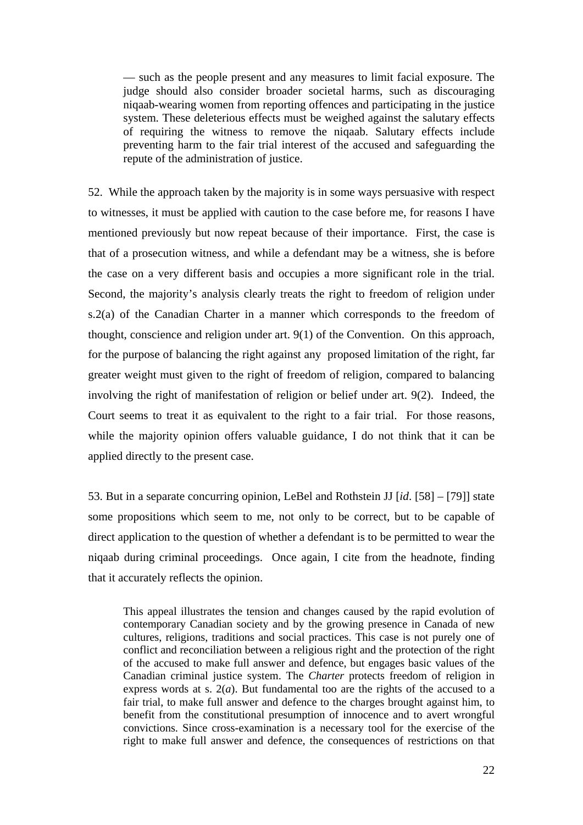— such as the people present and any measures to limit facial exposure. The judge should also consider broader societal harms, such as discouraging niqaab-wearing women from reporting offences and participating in the justice system. These deleterious effects must be weighed against the salutary effects of requiring the witness to remove the niqaab. Salutary effects include preventing harm to the fair trial interest of the accused and safeguarding the repute of the administration of justice.

52. While the approach taken by the majority is in some ways persuasive with respect to witnesses, it must be applied with caution to the case before me, for reasons I have mentioned previously but now repeat because of their importance. First, the case is that of a prosecution witness, and while a defendant may be a witness, she is before the case on a very different basis and occupies a more significant role in the trial. Second, the majority's analysis clearly treats the right to freedom of religion under s.2(a) of the Canadian Charter in a manner which corresponds to the freedom of thought, conscience and religion under art. 9(1) of the Convention. On this approach, for the purpose of balancing the right against any proposed limitation of the right, far greater weight must given to the right of freedom of religion, compared to balancing involving the right of manifestation of religion or belief under art. 9(2). Indeed, the Court seems to treat it as equivalent to the right to a fair trial. For those reasons, while the majority opinion offers valuable guidance, I do not think that it can be applied directly to the present case.

53. But in a separate concurring opinion, LeBel and Rothstein JJ [*id*. [58] – [79]] state some propositions which seem to me, not only to be correct, but to be capable of direct application to the question of whether a defendant is to be permitted to wear the niqaab during criminal proceedings. Once again, I cite from the headnote, finding that it accurately reflects the opinion.

This appeal illustrates the tension and changes caused by the rapid evolution of contemporary Canadian society and by the growing presence in Canada of new cultures, religions, traditions and social practices. This case is not purely one of conflict and reconciliation between a religious right and the protection of the right of the accused to make full answer and defence, but engages basic values of the Canadian criminal justice system. The *Charter* protects freedom of religion in express words at s. 2(*a*). But fundamental too are the rights of the accused to a fair trial, to make full answer and defence to the charges brought against him, to benefit from the constitutional presumption of innocence and to avert wrongful convictions. Since cross-examination is a necessary tool for the exercise of the right to make full answer and defence, the consequences of restrictions on that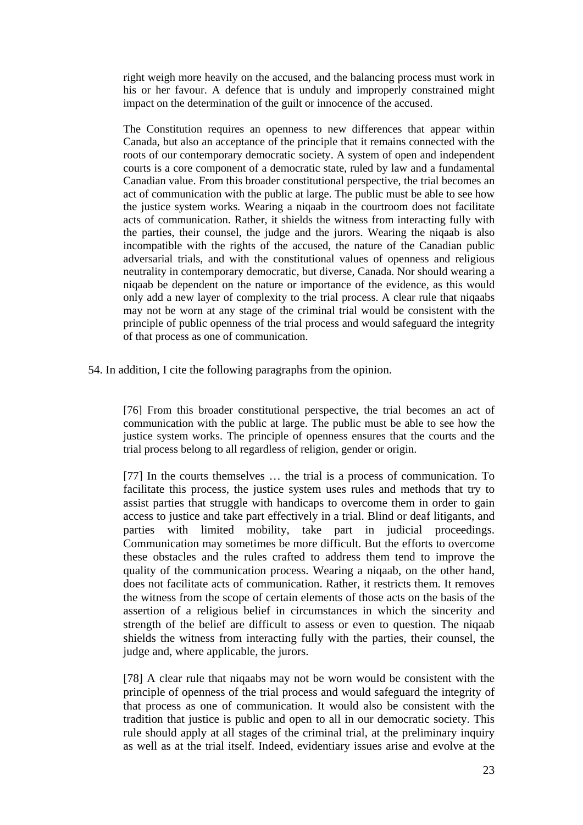right weigh more heavily on the accused, and the balancing process must work in his or her favour. A defence that is unduly and improperly constrained might impact on the determination of the guilt or innocence of the accused.

The Constitution requires an openness to new differences that appear within Canada, but also an acceptance of the principle that it remains connected with the roots of our contemporary democratic society. A system of open and independent courts is a core component of a democratic state, ruled by law and a fundamental Canadian value. From this broader constitutional perspective, the trial becomes an act of communication with the public at large. The public must be able to see how the justice system works. Wearing a niqaab in the courtroom does not facilitate acts of communication. Rather, it shields the witness from interacting fully with the parties, their counsel, the judge and the jurors. Wearing the niqaab is also incompatible with the rights of the accused, the nature of the Canadian public adversarial trials, and with the constitutional values of openness and religious neutrality in contemporary democratic, but diverse, Canada. Nor should wearing a niqaab be dependent on the nature or importance of the evidence, as this would only add a new layer of complexity to the trial process. A clear rule that niqaabs may not be worn at any stage of the criminal trial would be consistent with the principle of public openness of the trial process and would safeguard the integrity of that process as one of communication.

54. In addition, I cite the following paragraphs from the opinion.

[76] From this broader constitutional perspective, the trial becomes an act of communication with the public at large. The public must be able to see how the justice system works. The principle of openness ensures that the courts and the trial process belong to all regardless of religion, gender or origin.

[77] In the courts themselves … the trial is a process of communication. To facilitate this process, the justice system uses rules and methods that try to assist parties that struggle with handicaps to overcome them in order to gain access to justice and take part effectively in a trial. Blind or deaf litigants, and parties with limited mobility, take part in judicial proceedings. Communication may sometimes be more difficult. But the efforts to overcome these obstacles and the rules crafted to address them tend to improve the quality of the communication process. Wearing a niqaab, on the other hand, does not facilitate acts of communication. Rather, it restricts them. It removes the witness from the scope of certain elements of those acts on the basis of the assertion of a religious belief in circumstances in which the sincerity and strength of the belief are difficult to assess or even to question. The niqaab shields the witness from interacting fully with the parties, their counsel, the judge and, where applicable, the jurors.

[78] A clear rule that niqaabs may not be worn would be consistent with the principle of openness of the trial process and would safeguard the integrity of that process as one of communication. It would also be consistent with the tradition that justice is public and open to all in our democratic society. This rule should apply at all stages of the criminal trial, at the preliminary inquiry as well as at the trial itself. Indeed, evidentiary issues arise and evolve at the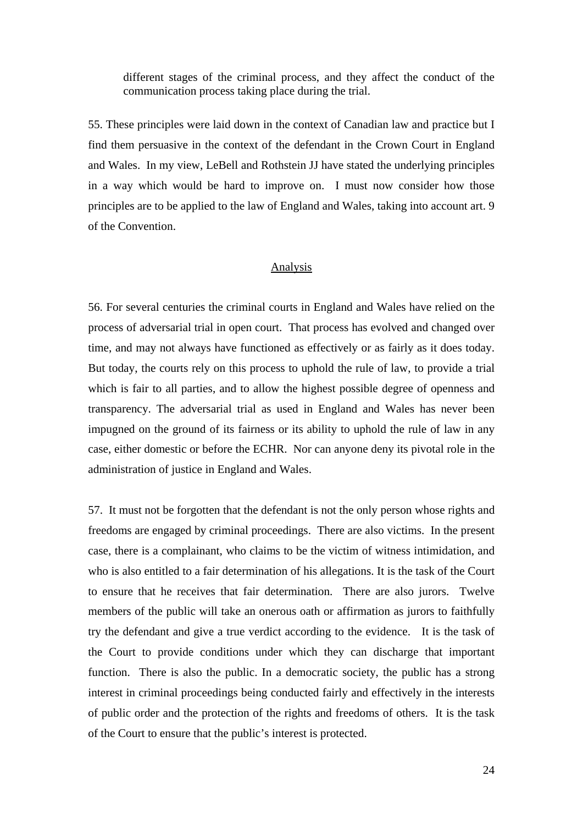different stages of the criminal process, and they affect the conduct of the communication process taking place during the trial.

55. These principles were laid down in the context of Canadian law and practice but I find them persuasive in the context of the defendant in the Crown Court in England and Wales. In my view, LeBell and Rothstein JJ have stated the underlying principles in a way which would be hard to improve on. I must now consider how those principles are to be applied to the law of England and Wales, taking into account art. 9 of the Convention.

## Analysis

56. For several centuries the criminal courts in England and Wales have relied on the process of adversarial trial in open court. That process has evolved and changed over time, and may not always have functioned as effectively or as fairly as it does today. But today, the courts rely on this process to uphold the rule of law, to provide a trial which is fair to all parties, and to allow the highest possible degree of openness and transparency. The adversarial trial as used in England and Wales has never been impugned on the ground of its fairness or its ability to uphold the rule of law in any case, either domestic or before the ECHR. Nor can anyone deny its pivotal role in the administration of justice in England and Wales.

57. It must not be forgotten that the defendant is not the only person whose rights and freedoms are engaged by criminal proceedings. There are also victims. In the present case, there is a complainant, who claims to be the victim of witness intimidation, and who is also entitled to a fair determination of his allegations. It is the task of the Court to ensure that he receives that fair determination. There are also jurors. Twelve members of the public will take an onerous oath or affirmation as jurors to faithfully try the defendant and give a true verdict according to the evidence. It is the task of the Court to provide conditions under which they can discharge that important function. There is also the public. In a democratic society, the public has a strong interest in criminal proceedings being conducted fairly and effectively in the interests of public order and the protection of the rights and freedoms of others. It is the task of the Court to ensure that the public's interest is protected.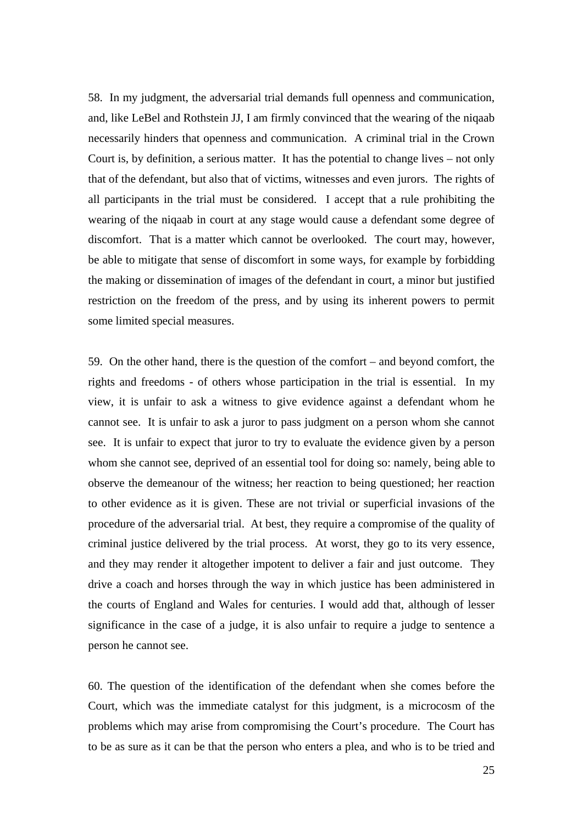58. In my judgment, the adversarial trial demands full openness and communication, and, like LeBel and Rothstein JJ, I am firmly convinced that the wearing of the niqaab necessarily hinders that openness and communication. A criminal trial in the Crown Court is, by definition, a serious matter. It has the potential to change lives – not only that of the defendant, but also that of victims, witnesses and even jurors. The rights of all participants in the trial must be considered. I accept that a rule prohibiting the wearing of the niqaab in court at any stage would cause a defendant some degree of discomfort. That is a matter which cannot be overlooked. The court may, however, be able to mitigate that sense of discomfort in some ways, for example by forbidding the making or dissemination of images of the defendant in court, a minor but justified restriction on the freedom of the press, and by using its inherent powers to permit some limited special measures.

59. On the other hand, there is the question of the comfort – and beyond comfort, the rights and freedoms - of others whose participation in the trial is essential. In my view, it is unfair to ask a witness to give evidence against a defendant whom he cannot see. It is unfair to ask a juror to pass judgment on a person whom she cannot see. It is unfair to expect that juror to try to evaluate the evidence given by a person whom she cannot see, deprived of an essential tool for doing so: namely, being able to observe the demeanour of the witness; her reaction to being questioned; her reaction to other evidence as it is given. These are not trivial or superficial invasions of the procedure of the adversarial trial. At best, they require a compromise of the quality of criminal justice delivered by the trial process. At worst, they go to its very essence, and they may render it altogether impotent to deliver a fair and just outcome. They drive a coach and horses through the way in which justice has been administered in the courts of England and Wales for centuries. I would add that, although of lesser significance in the case of a judge, it is also unfair to require a judge to sentence a person he cannot see.

60. The question of the identification of the defendant when she comes before the Court, which was the immediate catalyst for this judgment, is a microcosm of the problems which may arise from compromising the Court's procedure. The Court has to be as sure as it can be that the person who enters a plea, and who is to be tried and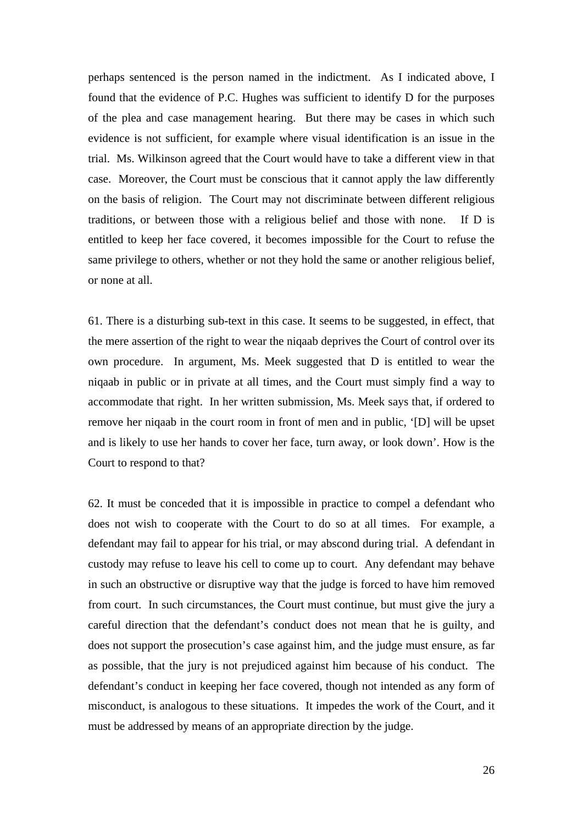perhaps sentenced is the person named in the indictment. As I indicated above, I found that the evidence of P.C. Hughes was sufficient to identify D for the purposes of the plea and case management hearing. But there may be cases in which such evidence is not sufficient, for example where visual identification is an issue in the trial. Ms. Wilkinson agreed that the Court would have to take a different view in that case. Moreover, the Court must be conscious that it cannot apply the law differently on the basis of religion. The Court may not discriminate between different religious traditions, or between those with a religious belief and those with none. If D is entitled to keep her face covered, it becomes impossible for the Court to refuse the same privilege to others, whether or not they hold the same or another religious belief, or none at all.

61. There is a disturbing sub-text in this case. It seems to be suggested, in effect, that the mere assertion of the right to wear the niqaab deprives the Court of control over its own procedure. In argument, Ms. Meek suggested that D is entitled to wear the niqaab in public or in private at all times, and the Court must simply find a way to accommodate that right. In her written submission, Ms. Meek says that, if ordered to remove her niqaab in the court room in front of men and in public, '[D] will be upset and is likely to use her hands to cover her face, turn away, or look down'. How is the Court to respond to that?

62. It must be conceded that it is impossible in practice to compel a defendant who does not wish to cooperate with the Court to do so at all times. For example, a defendant may fail to appear for his trial, or may abscond during trial. A defendant in custody may refuse to leave his cell to come up to court. Any defendant may behave in such an obstructive or disruptive way that the judge is forced to have him removed from court. In such circumstances, the Court must continue, but must give the jury a careful direction that the defendant's conduct does not mean that he is guilty, and does not support the prosecution's case against him, and the judge must ensure, as far as possible, that the jury is not prejudiced against him because of his conduct. The defendant's conduct in keeping her face covered, though not intended as any form of misconduct, is analogous to these situations. It impedes the work of the Court, and it must be addressed by means of an appropriate direction by the judge.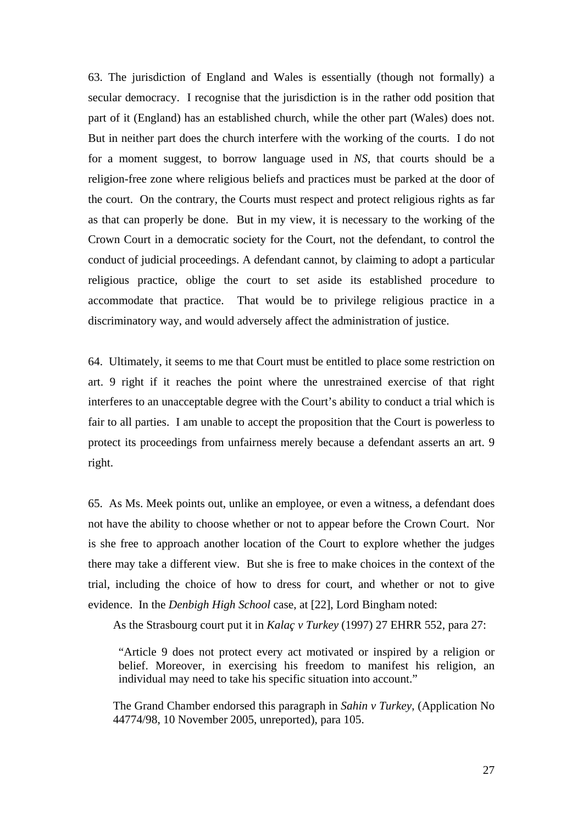63. The jurisdiction of England and Wales is essentially (though not formally) a secular democracy. I recognise that the jurisdiction is in the rather odd position that part of it (England) has an established church, while the other part (Wales) does not. But in neither part does the church interfere with the working of the courts. I do not for a moment suggest, to borrow language used in *NS*, that courts should be a religion-free zone where religious beliefs and practices must be parked at the door of the court. On the contrary, the Courts must respect and protect religious rights as far as that can properly be done. But in my view, it is necessary to the working of the Crown Court in a democratic society for the Court, not the defendant, to control the conduct of judicial proceedings. A defendant cannot, by claiming to adopt a particular religious practice, oblige the court to set aside its established procedure to accommodate that practice. That would be to privilege religious practice in a discriminatory way, and would adversely affect the administration of justice.

64. Ultimately, it seems to me that Court must be entitled to place some restriction on art. 9 right if it reaches the point where the unrestrained exercise of that right interferes to an unacceptable degree with the Court's ability to conduct a trial which is fair to all parties. I am unable to accept the proposition that the Court is powerless to protect its proceedings from unfairness merely because a defendant asserts an art. 9 right.

65. As Ms. Meek points out, unlike an employee, or even a witness, a defendant does not have the ability to choose whether or not to appear before the Crown Court. Nor is she free to approach another location of the Court to explore whether the judges there may take a different view. But she is free to make choices in the context of the trial, including the choice of how to dress for court, and whether or not to give evidence. In the *Denbigh High School* case, at [22], Lord Bingham noted:

As the Strasbourg court put it in *Kalaç v Turkey* (1997) 27 EHRR 552, para 27:

"Article 9 does not protect every act motivated or inspired by a religion or belief. Moreover, in exercising his freedom to manifest his religion, an individual may need to take his specific situation into account."

The Grand Chamber endorsed this paragraph in *Sahin v Turkey*, (Application No 44774/98, 10 November 2005, unreported), para 105.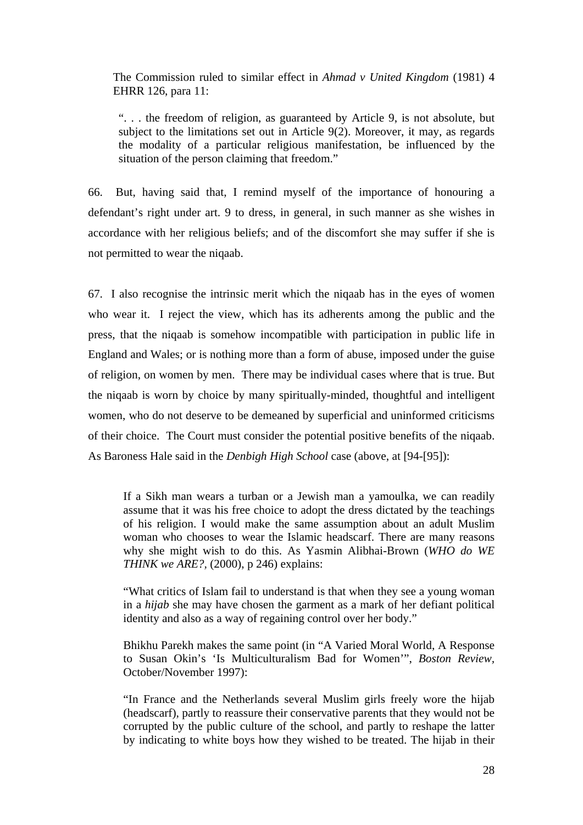The Commission ruled to similar effect in *Ahmad v United Kingdom* (1981) 4 EHRR 126, para 11:

". . . the freedom of religion, as guaranteed by Article 9, is not absolute, but subject to the limitations set out in Article 9(2). Moreover, it may, as regards the modality of a particular religious manifestation, be influenced by the situation of the person claiming that freedom."

66. But, having said that, I remind myself of the importance of honouring a defendant's right under art. 9 to dress, in general, in such manner as she wishes in accordance with her religious beliefs; and of the discomfort she may suffer if she is not permitted to wear the niqaab.

67. I also recognise the intrinsic merit which the niqaab has in the eyes of women who wear it. I reject the view, which has its adherents among the public and the press, that the niqaab is somehow incompatible with participation in public life in England and Wales; or is nothing more than a form of abuse, imposed under the guise of religion, on women by men. There may be individual cases where that is true. But the niqaab is worn by choice by many spiritually-minded, thoughtful and intelligent women, who do not deserve to be demeaned by superficial and uninformed criticisms of their choice. The Court must consider the potential positive benefits of the niqaab. As Baroness Hale said in the *Denbigh High School* case (above, at [94-[95]):

If a Sikh man wears a turban or a Jewish man a yamoulka, we can readily assume that it was his free choice to adopt the dress dictated by the teachings of his religion. I would make the same assumption about an adult Muslim woman who chooses to wear the Islamic headscarf. There are many reasons why she might wish to do this. As Yasmin Alibhai-Brown (*WHO do WE THINK we ARE?,* (2000), p 246) explains:

"What critics of Islam fail to understand is that when they see a young woman in a *hijab* she may have chosen the garment as a mark of her defiant political identity and also as a way of regaining control over her body."

Bhikhu Parekh makes the same point (in "A Varied Moral World, A Response to Susan Okin's 'Is Multiculturalism Bad for Women'", *Boston Review,*  October/November 1997):

"In France and the Netherlands several Muslim girls freely wore the hijab (headscarf), partly to reassure their conservative parents that they would not be corrupted by the public culture of the school, and partly to reshape the latter by indicating to white boys how they wished to be treated. The hijab in their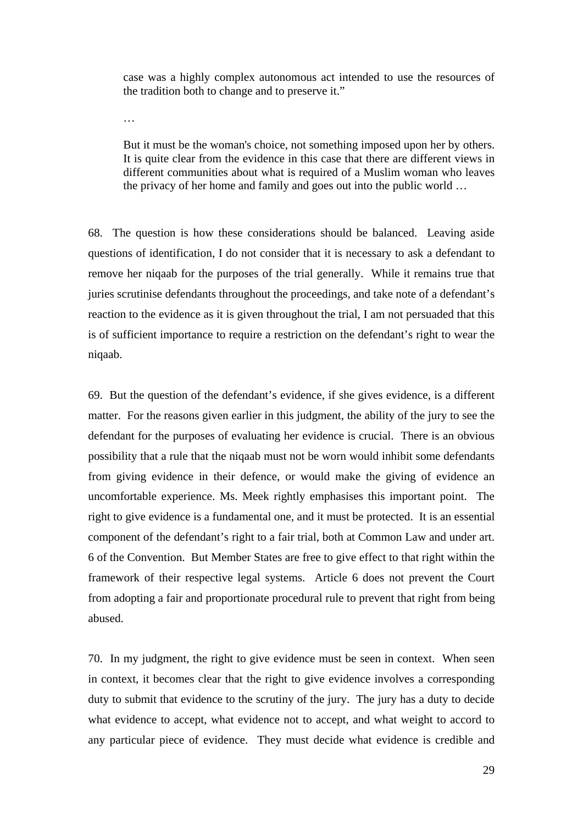case was a highly complex autonomous act intended to use the resources of the tradition both to change and to preserve it."

…

But it must be the woman's choice, not something imposed upon her by others. It is quite clear from the evidence in this case that there are different views in different communities about what is required of a Muslim woman who leaves the privacy of her home and family and goes out into the public world …

68. The question is how these considerations should be balanced. Leaving aside questions of identification, I do not consider that it is necessary to ask a defendant to remove her niqaab for the purposes of the trial generally. While it remains true that juries scrutinise defendants throughout the proceedings, and take note of a defendant's reaction to the evidence as it is given throughout the trial, I am not persuaded that this is of sufficient importance to require a restriction on the defendant's right to wear the niqaab.

69. But the question of the defendant's evidence, if she gives evidence, is a different matter. For the reasons given earlier in this judgment, the ability of the jury to see the defendant for the purposes of evaluating her evidence is crucial. There is an obvious possibility that a rule that the niqaab must not be worn would inhibit some defendants from giving evidence in their defence, or would make the giving of evidence an uncomfortable experience. Ms. Meek rightly emphasises this important point. The right to give evidence is a fundamental one, and it must be protected. It is an essential component of the defendant's right to a fair trial, both at Common Law and under art. 6 of the Convention. But Member States are free to give effect to that right within the framework of their respective legal systems. Article 6 does not prevent the Court from adopting a fair and proportionate procedural rule to prevent that right from being abused.

70. In my judgment, the right to give evidence must be seen in context. When seen in context, it becomes clear that the right to give evidence involves a corresponding duty to submit that evidence to the scrutiny of the jury. The jury has a duty to decide what evidence to accept, what evidence not to accept, and what weight to accord to any particular piece of evidence. They must decide what evidence is credible and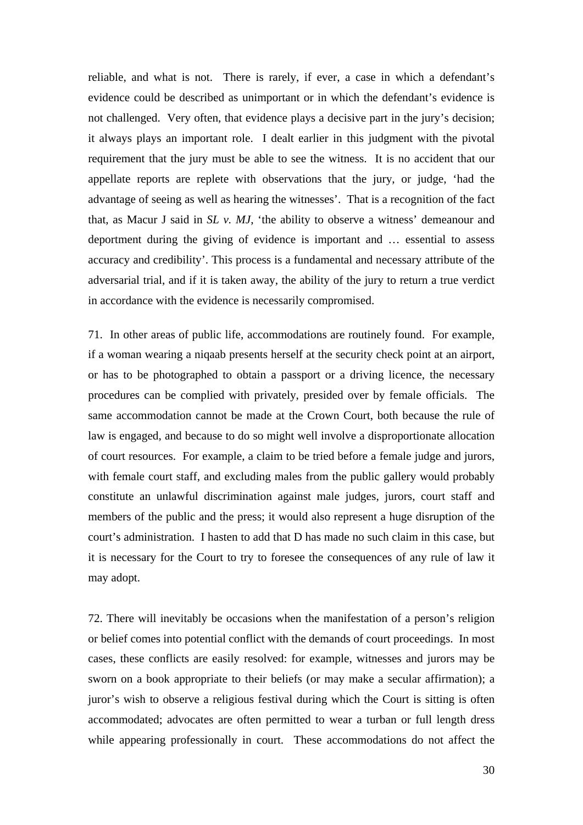reliable, and what is not. There is rarely, if ever, a case in which a defendant's evidence could be described as unimportant or in which the defendant's evidence is not challenged. Very often, that evidence plays a decisive part in the jury's decision; it always plays an important role. I dealt earlier in this judgment with the pivotal requirement that the jury must be able to see the witness. It is no accident that our appellate reports are replete with observations that the jury, or judge, 'had the advantage of seeing as well as hearing the witnesses'. That is a recognition of the fact that, as Macur J said in *SL v. MJ*, 'the ability to observe a witness' demeanour and deportment during the giving of evidence is important and … essential to assess accuracy and credibility'. This process is a fundamental and necessary attribute of the adversarial trial, and if it is taken away, the ability of the jury to return a true verdict in accordance with the evidence is necessarily compromised.

71. In other areas of public life, accommodations are routinely found. For example, if a woman wearing a niqaab presents herself at the security check point at an airport, or has to be photographed to obtain a passport or a driving licence, the necessary procedures can be complied with privately, presided over by female officials. The same accommodation cannot be made at the Crown Court, both because the rule of law is engaged, and because to do so might well involve a disproportionate allocation of court resources. For example, a claim to be tried before a female judge and jurors, with female court staff, and excluding males from the public gallery would probably constitute an unlawful discrimination against male judges, jurors, court staff and members of the public and the press; it would also represent a huge disruption of the court's administration. I hasten to add that D has made no such claim in this case, but it is necessary for the Court to try to foresee the consequences of any rule of law it may adopt.

72. There will inevitably be occasions when the manifestation of a person's religion or belief comes into potential conflict with the demands of court proceedings. In most cases, these conflicts are easily resolved: for example, witnesses and jurors may be sworn on a book appropriate to their beliefs (or may make a secular affirmation); a juror's wish to observe a religious festival during which the Court is sitting is often accommodated; advocates are often permitted to wear a turban or full length dress while appearing professionally in court. These accommodations do not affect the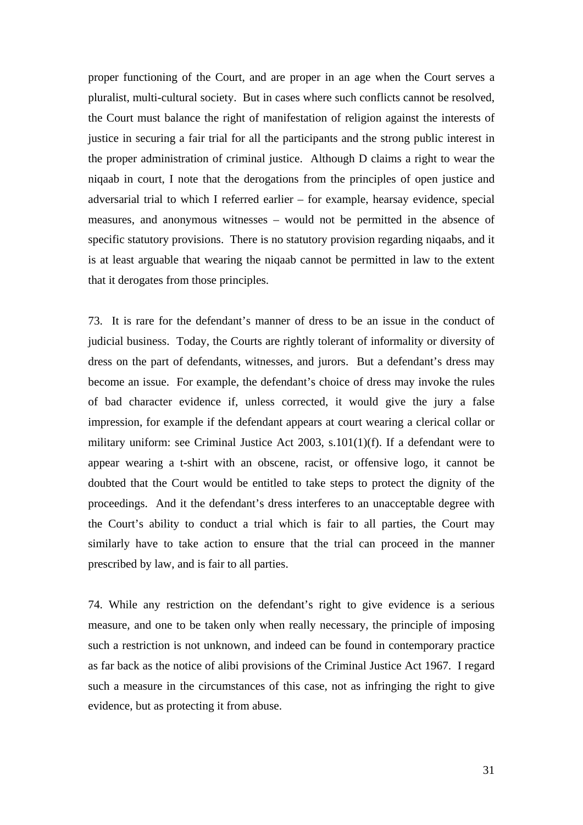proper functioning of the Court, and are proper in an age when the Court serves a pluralist, multi-cultural society. But in cases where such conflicts cannot be resolved, the Court must balance the right of manifestation of religion against the interests of justice in securing a fair trial for all the participants and the strong public interest in the proper administration of criminal justice. Although D claims a right to wear the niqaab in court, I note that the derogations from the principles of open justice and adversarial trial to which I referred earlier – for example, hearsay evidence, special measures, and anonymous witnesses – would not be permitted in the absence of specific statutory provisions. There is no statutory provision regarding niqaabs, and it is at least arguable that wearing the niqaab cannot be permitted in law to the extent that it derogates from those principles.

73. It is rare for the defendant's manner of dress to be an issue in the conduct of judicial business. Today, the Courts are rightly tolerant of informality or diversity of dress on the part of defendants, witnesses, and jurors. But a defendant's dress may become an issue. For example, the defendant's choice of dress may invoke the rules of bad character evidence if, unless corrected, it would give the jury a false impression, for example if the defendant appears at court wearing a clerical collar or military uniform: see Criminal Justice Act 2003, s.101(1)(f). If a defendant were to appear wearing a t-shirt with an obscene, racist, or offensive logo, it cannot be doubted that the Court would be entitled to take steps to protect the dignity of the proceedings. And it the defendant's dress interferes to an unacceptable degree with the Court's ability to conduct a trial which is fair to all parties, the Court may similarly have to take action to ensure that the trial can proceed in the manner prescribed by law, and is fair to all parties.

74. While any restriction on the defendant's right to give evidence is a serious measure, and one to be taken only when really necessary, the principle of imposing such a restriction is not unknown, and indeed can be found in contemporary practice as far back as the notice of alibi provisions of the Criminal Justice Act 1967. I regard such a measure in the circumstances of this case, not as infringing the right to give evidence, but as protecting it from abuse.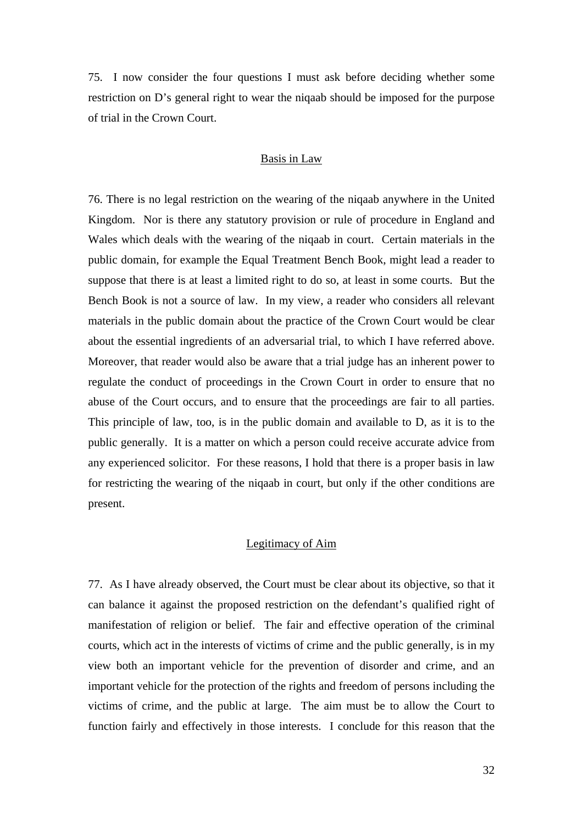75. I now consider the four questions I must ask before deciding whether some restriction on D's general right to wear the niqaab should be imposed for the purpose of trial in the Crown Court.

## Basis in Law

76. There is no legal restriction on the wearing of the niqaab anywhere in the United Kingdom. Nor is there any statutory provision or rule of procedure in England and Wales which deals with the wearing of the niqaab in court. Certain materials in the public domain, for example the Equal Treatment Bench Book, might lead a reader to suppose that there is at least a limited right to do so, at least in some courts. But the Bench Book is not a source of law. In my view, a reader who considers all relevant materials in the public domain about the practice of the Crown Court would be clear about the essential ingredients of an adversarial trial, to which I have referred above. Moreover, that reader would also be aware that a trial judge has an inherent power to regulate the conduct of proceedings in the Crown Court in order to ensure that no abuse of the Court occurs, and to ensure that the proceedings are fair to all parties. This principle of law, too, is in the public domain and available to D, as it is to the public generally. It is a matter on which a person could receive accurate advice from any experienced solicitor. For these reasons, I hold that there is a proper basis in law for restricting the wearing of the niqaab in court, but only if the other conditions are present.

# Legitimacy of Aim

77. As I have already observed, the Court must be clear about its objective, so that it can balance it against the proposed restriction on the defendant's qualified right of manifestation of religion or belief. The fair and effective operation of the criminal courts, which act in the interests of victims of crime and the public generally, is in my view both an important vehicle for the prevention of disorder and crime, and an important vehicle for the protection of the rights and freedom of persons including the victims of crime, and the public at large. The aim must be to allow the Court to function fairly and effectively in those interests. I conclude for this reason that the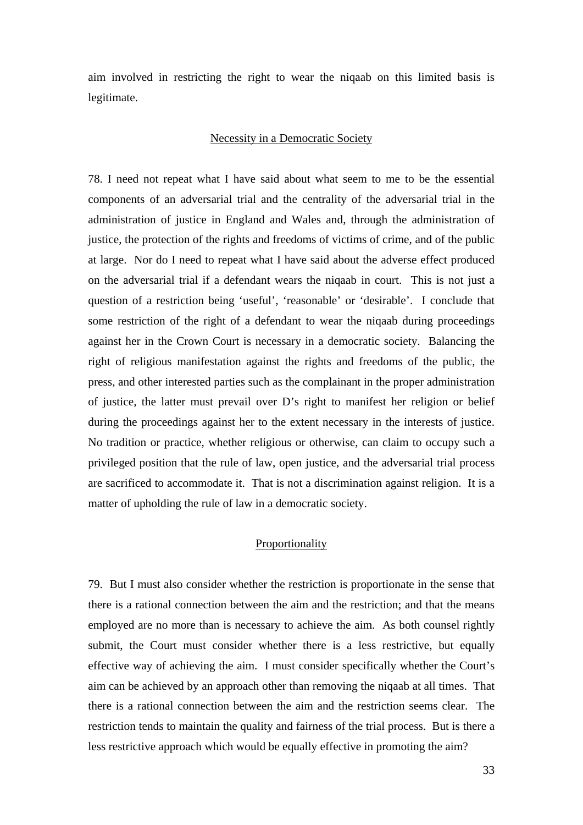aim involved in restricting the right to wear the niqaab on this limited basis is legitimate.

## Necessity in a Democratic Society

78. I need not repeat what I have said about what seem to me to be the essential components of an adversarial trial and the centrality of the adversarial trial in the administration of justice in England and Wales and, through the administration of justice, the protection of the rights and freedoms of victims of crime, and of the public at large. Nor do I need to repeat what I have said about the adverse effect produced on the adversarial trial if a defendant wears the niqaab in court. This is not just a question of a restriction being 'useful', 'reasonable' or 'desirable'. I conclude that some restriction of the right of a defendant to wear the niqaab during proceedings against her in the Crown Court is necessary in a democratic society. Balancing the right of religious manifestation against the rights and freedoms of the public, the press, and other interested parties such as the complainant in the proper administration of justice, the latter must prevail over D's right to manifest her religion or belief during the proceedings against her to the extent necessary in the interests of justice. No tradition or practice, whether religious or otherwise, can claim to occupy such a privileged position that the rule of law, open justice, and the adversarial trial process are sacrificed to accommodate it. That is not a discrimination against religion. It is a matter of upholding the rule of law in a democratic society.

### Proportionality

79. But I must also consider whether the restriction is proportionate in the sense that there is a rational connection between the aim and the restriction; and that the means employed are no more than is necessary to achieve the aim. As both counsel rightly submit, the Court must consider whether there is a less restrictive, but equally effective way of achieving the aim. I must consider specifically whether the Court's aim can be achieved by an approach other than removing the niqaab at all times. That there is a rational connection between the aim and the restriction seems clear. The restriction tends to maintain the quality and fairness of the trial process. But is there a less restrictive approach which would be equally effective in promoting the aim?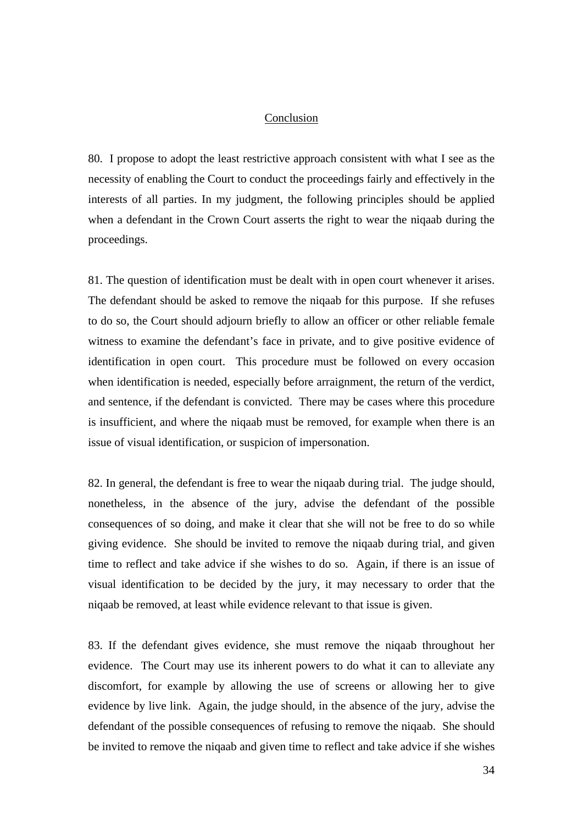## Conclusion

80. I propose to adopt the least restrictive approach consistent with what I see as the necessity of enabling the Court to conduct the proceedings fairly and effectively in the interests of all parties. In my judgment, the following principles should be applied when a defendant in the Crown Court asserts the right to wear the niqaab during the proceedings.

81. The question of identification must be dealt with in open court whenever it arises. The defendant should be asked to remove the niqaab for this purpose. If she refuses to do so, the Court should adjourn briefly to allow an officer or other reliable female witness to examine the defendant's face in private, and to give positive evidence of identification in open court. This procedure must be followed on every occasion when identification is needed, especially before arraignment, the return of the verdict, and sentence, if the defendant is convicted. There may be cases where this procedure is insufficient, and where the niqaab must be removed, for example when there is an issue of visual identification, or suspicion of impersonation.

82. In general, the defendant is free to wear the niqaab during trial. The judge should, nonetheless, in the absence of the jury, advise the defendant of the possible consequences of so doing, and make it clear that she will not be free to do so while giving evidence. She should be invited to remove the niqaab during trial, and given time to reflect and take advice if she wishes to do so. Again, if there is an issue of visual identification to be decided by the jury, it may necessary to order that the niqaab be removed, at least while evidence relevant to that issue is given.

83. If the defendant gives evidence, she must remove the niqaab throughout her evidence. The Court may use its inherent powers to do what it can to alleviate any discomfort, for example by allowing the use of screens or allowing her to give evidence by live link. Again, the judge should, in the absence of the jury, advise the defendant of the possible consequences of refusing to remove the niqaab. She should be invited to remove the niqaab and given time to reflect and take advice if she wishes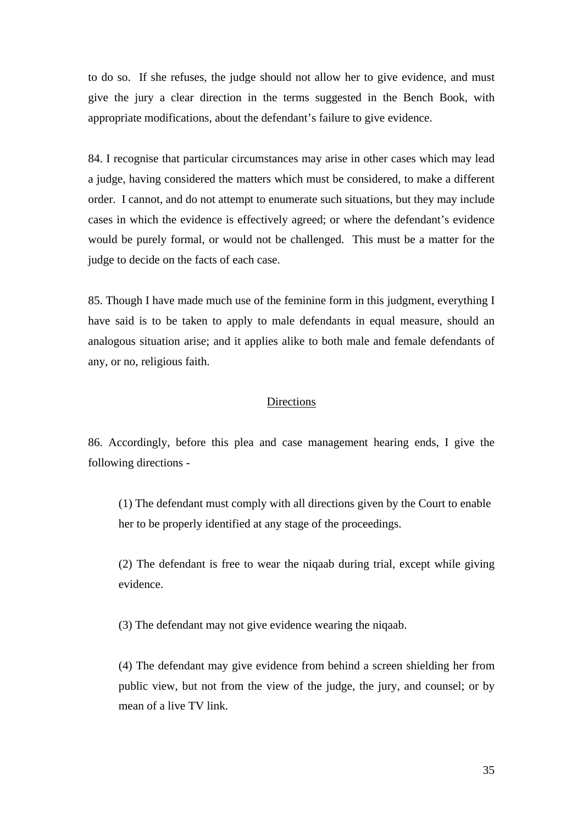to do so. If she refuses, the judge should not allow her to give evidence, and must give the jury a clear direction in the terms suggested in the Bench Book, with appropriate modifications, about the defendant's failure to give evidence.

84. I recognise that particular circumstances may arise in other cases which may lead a judge, having considered the matters which must be considered, to make a different order. I cannot, and do not attempt to enumerate such situations, but they may include cases in which the evidence is effectively agreed; or where the defendant's evidence would be purely formal, or would not be challenged. This must be a matter for the judge to decide on the facts of each case.

85. Though I have made much use of the feminine form in this judgment, everything I have said is to be taken to apply to male defendants in equal measure, should an analogous situation arise; and it applies alike to both male and female defendants of any, or no, religious faith.

# Directions

86. Accordingly, before this plea and case management hearing ends, I give the following directions -

(1) The defendant must comply with all directions given by the Court to enable her to be properly identified at any stage of the proceedings.

(2) The defendant is free to wear the niqaab during trial, except while giving evidence.

(3) The defendant may not give evidence wearing the niqaab.

(4) The defendant may give evidence from behind a screen shielding her from public view, but not from the view of the judge, the jury, and counsel; or by mean of a live TV link.